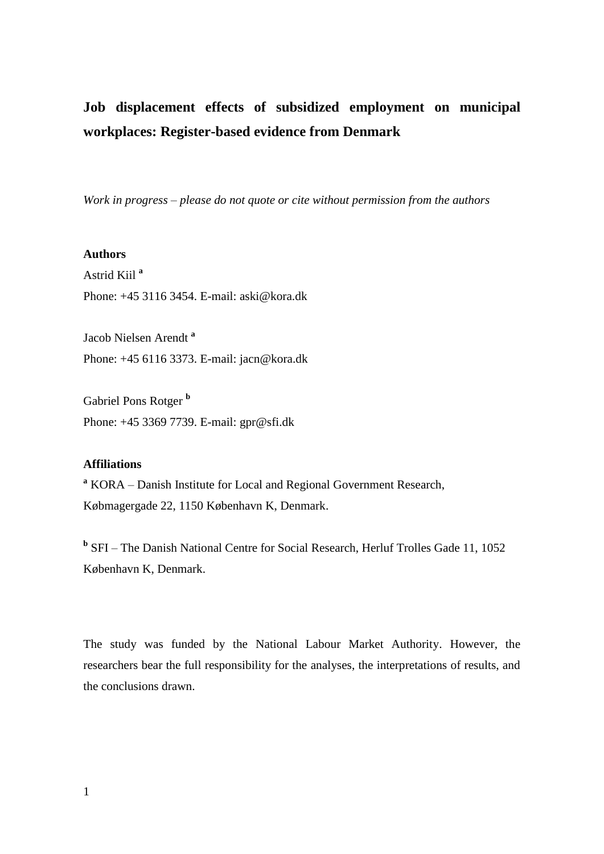# **Job displacement effects of subsidized employment on municipal workplaces: Register-based evidence from Denmark**

*Work in progress – please do not quote or cite without permission from the authors*

### **Authors**

Astrid Kiil **<sup>a</sup>** Phone: +45 3116 3454. E-mail: aski@kora.dk

Jacob Nielsen Arendt **<sup>a</sup>** Phone: +45 6116 3373. E-mail: jacn@kora.dk

Gabriel Pons Rotger **<sup>b</sup>** Phone: +45 3369 7739. E-mail: gpr@sfi.dk

## **Affiliations**

**<sup>a</sup>** KORA – Danish Institute for Local and Regional Government Research, Købmagergade 22, 1150 København K, Denmark.

<sup>b</sup> SFI – The Danish National Centre for Social Research, Herluf Trolles Gade 11, 1052 København K, Denmark.

The study was funded by the National Labour Market Authority. However, the researchers bear the full responsibility for the analyses, the interpretations of results, and the conclusions drawn.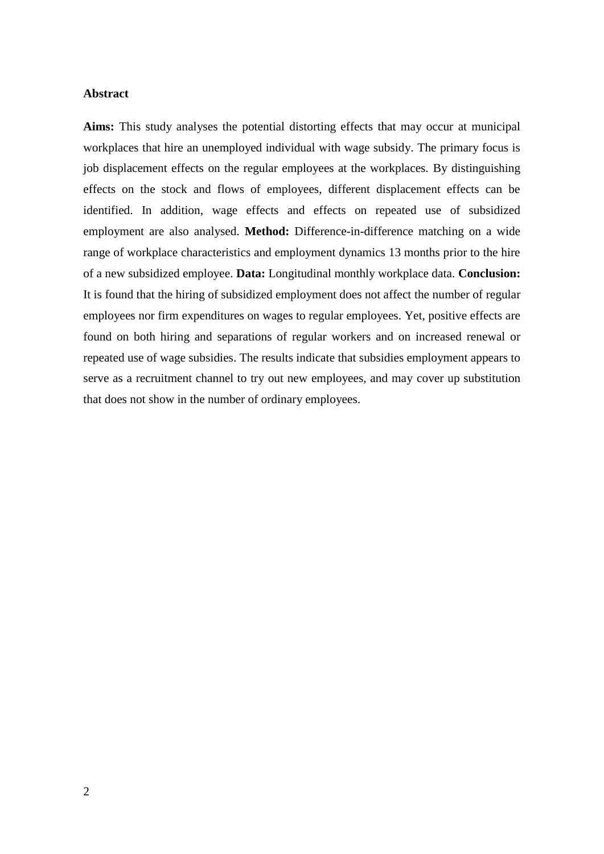### **Abstract**

**Aims:** This study analyses the potential distorting effects that may occur at municipal workplaces that hire an unemployed individual with wage subsidy. The primary focus is job displacement effects on the regular employees at the workplaces. By distinguishing effects on the stock and flows of employees, different displacement effects can be identified. In addition, wage effects and effects on repeated use of subsidized employment are also analysed. **Method:** Difference-in-difference matching on a wide range of workplace characteristics and employment dynamics 13 months prior to the hire of a new subsidized employee. **Data:** Longitudinal monthly workplace data. **Conclusion:** It is found that the hiring of subsidized employment does not affect the number of regular employees nor firm expenditures on wages to regular employees. Yet, positive effects are found on both hiring and separations of regular workers and on increased renewal or repeated use of wage subsidies. The results indicate that subsidies employment appears to serve as a recruitment channel to try out new employees, and may cover up substitution that does not show in the number of ordinary employees.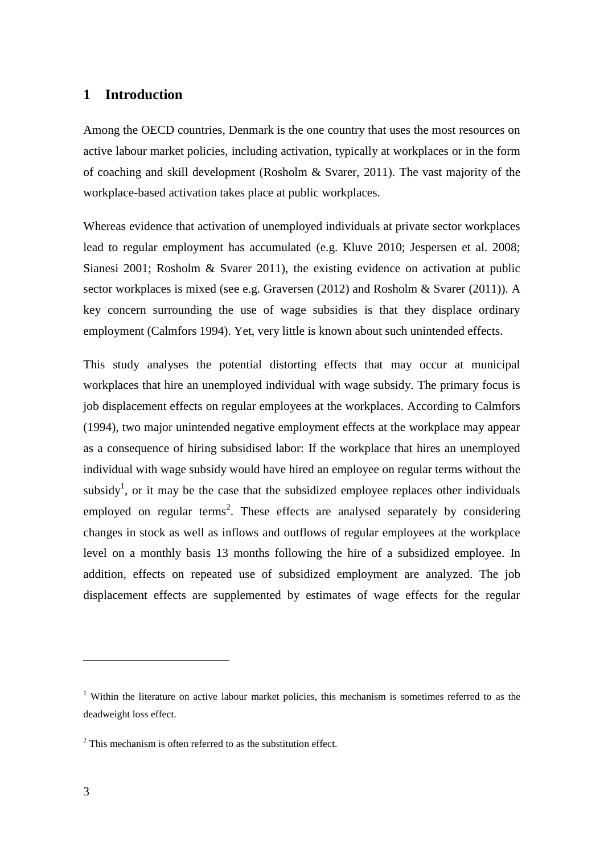# **1 Introduction**

Among the OECD countries, Denmark is the one country that uses the most resources on active labour market policies, including activation, typically at workplaces or in the form of coaching and skill development (Rosholm & Svarer, 2011). The vast majority of the workplace-based activation takes place at public workplaces.

Whereas evidence that activation of unemployed individuals at private sector workplaces lead to regular employment has accumulated (e.g. Kluve 2010; Jespersen et al. 2008; Sianesi 2001; Rosholm & Svarer 2011), the existing evidence on activation at public sector workplaces is mixed (see e.g. Graversen (2012) and Rosholm & Svarer (2011)). A key concern surrounding the use of wage subsidies is that they displace ordinary employment (Calmfors 1994). Yet, very little is known about such unintended effects.

This study analyses the potential distorting effects that may occur at municipal workplaces that hire an unemployed individual with wage subsidy. The primary focus is job displacement effects on regular employees at the workplaces. According to Calmfors (1994), two major unintended negative employment effects at the workplace may appear as a consequence of hiring subsidised labor: If the workplace that hires an unemployed individual with wage subsidy would have hired an employee on regular terms without the subsidy<sup>1</sup>, or it may be the case that the subsidized employee replaces other individuals employed on regular terms<sup>2</sup>. These effects are analysed separately by considering changes in stock as well as inflows and outflows of regular employees at the workplace level on a monthly basis 13 months following the hire of a subsidized employee. In addition, effects on repeated use of subsidized employment are analyzed. The job displacement effects are supplemented by estimates of wage effects for the regular

<sup>&</sup>lt;sup>1</sup> Within the literature on active labour market policies, this mechanism is sometimes referred to as the deadweight loss effect.

 $2$ <sup>2</sup> This mechanism is often referred to as the substitution effect.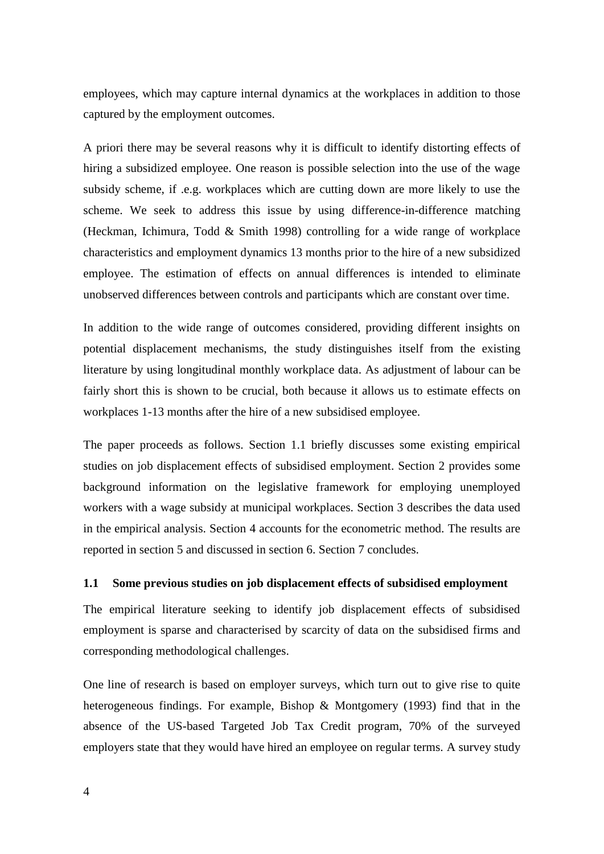employees, which may capture internal dynamics at the workplaces in addition to those captured by the employment outcomes.

A priori there may be several reasons why it is difficult to identify distorting effects of hiring a subsidized employee. One reason is possible selection into the use of the wage subsidy scheme, if .e.g. workplaces which are cutting down are more likely to use the scheme. We seek to address this issue by using difference-in-difference matching (Heckman, Ichimura, Todd & Smith 1998) controlling for a wide range of workplace characteristics and employment dynamics 13 months prior to the hire of a new subsidized employee. The estimation of effects on annual differences is intended to eliminate unobserved differences between controls and participants which are constant over time.

In addition to the wide range of outcomes considered, providing different insights on potential displacement mechanisms, the study distinguishes itself from the existing literature by using longitudinal monthly workplace data. As adjustment of labour can be fairly short this is shown to be crucial, both because it allows us to estimate effects on workplaces 1-13 months after the hire of a new subsidised employee.

The paper proceeds as follows. Section [1.1](#page-3-0) briefly discusses some existing empirical studies on job displacement effects of subsidised employment. Section [2](#page-5-0) provides some background information on the legislative framework for employing unemployed workers with a wage subsidy at municipal workplaces. Section [3](#page-8-0) describes the data used in the empirical analysis. Section [4](#page-13-0) accounts for the econometric method. The results are reported in section [5](#page-18-0) and discussed in section [6.](#page-28-0) Section [7](#page-29-0) concludes.

### <span id="page-3-0"></span>**1.1 Some previous studies on job displacement effects of subsidised employment**

The empirical literature seeking to identify job displacement effects of subsidised employment is sparse and characterised by scarcity of data on the subsidised firms and corresponding methodological challenges.

One line of research is based on employer surveys, which turn out to give rise to quite heterogeneous findings. For example, Bishop & Montgomery (1993) find that in the absence of the US-based Targeted Job Tax Credit program, 70% of the surveyed employers state that they would have hired an employee on regular terms. A survey study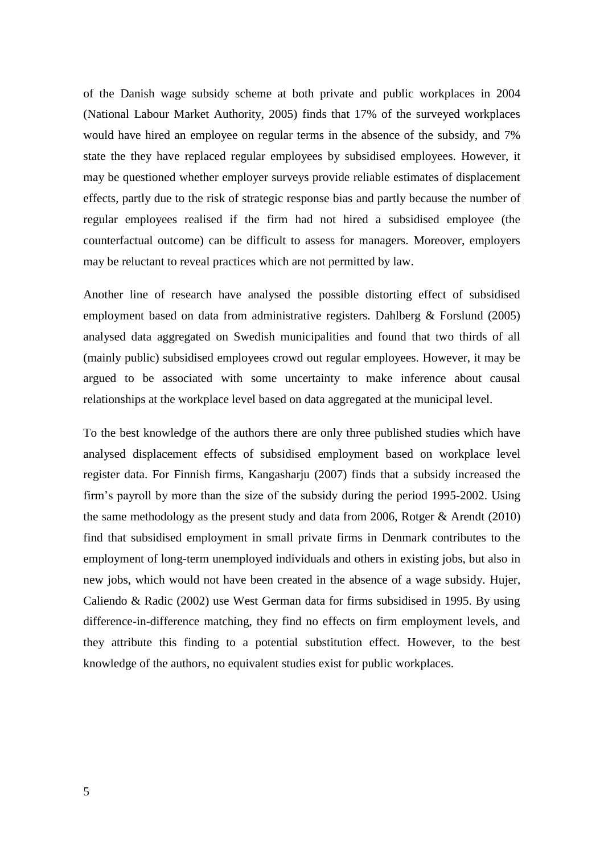of the Danish wage subsidy scheme at both private and public workplaces in 2004 (National Labour Market Authority, 2005) finds that 17% of the surveyed workplaces would have hired an employee on regular terms in the absence of the subsidy, and 7% state the they have replaced regular employees by subsidised employees. However, it may be questioned whether employer surveys provide reliable estimates of displacement effects, partly due to the risk of strategic response bias and partly because the number of regular employees realised if the firm had not hired a subsidised employee (the counterfactual outcome) can be difficult to assess for managers. Moreover, employers may be reluctant to reveal practices which are not permitted by law.

Another line of research have analysed the possible distorting effect of subsidised employment based on data from administrative registers. Dahlberg & Forslund (2005) analysed data aggregated on Swedish municipalities and found that two thirds of all (mainly public) subsidised employees crowd out regular employees. However, it may be argued to be associated with some uncertainty to make inference about causal relationships at the workplace level based on data aggregated at the municipal level.

To the best knowledge of the authors there are only three published studies which have analysed displacement effects of subsidised employment based on workplace level register data. For Finnish firms, Kangasharju (2007) finds that a subsidy increased the firm's payroll by more than the size of the subsidy during the period 1995-2002. Using the same methodology as the present study and data from 2006, Rotger & Arendt (2010) find that subsidised employment in small private firms in Denmark contributes to the employment of long-term unemployed individuals and others in existing jobs, but also in new jobs, which would not have been created in the absence of a wage subsidy. Hujer, Caliendo & Radic (2002) use West German data for firms subsidised in 1995. By using difference-in-difference matching, they find no effects on firm employment levels, and they attribute this finding to a potential substitution effect. However, to the best knowledge of the authors, no equivalent studies exist for public workplaces.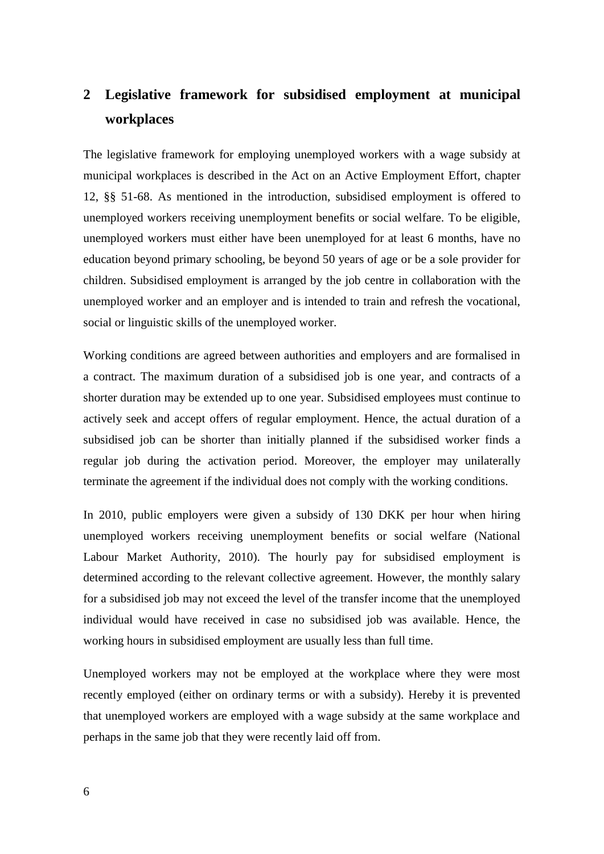# <span id="page-5-0"></span>**2 Legislative framework for subsidised employment at municipal workplaces**

The legislative framework for employing unemployed workers with a wage subsidy at municipal workplaces is described in the Act on an Active Employment Effort, chapter 12, §§ 51-68. As mentioned in the introduction, subsidised employment is offered to unemployed workers receiving unemployment benefits or social welfare. To be eligible, unemployed workers must either have been unemployed for at least 6 months, have no education beyond primary schooling, be beyond 50 years of age or be a sole provider for children. Subsidised employment is arranged by the job centre in collaboration with the unemployed worker and an employer and is intended to train and refresh the vocational, social or linguistic skills of the unemployed worker.

Working conditions are agreed between authorities and employers and are formalised in a contract. The maximum duration of a subsidised job is one year, and contracts of a shorter duration may be extended up to one year. Subsidised employees must continue to actively seek and accept offers of regular employment. Hence, the actual duration of a subsidised job can be shorter than initially planned if the subsidised worker finds a regular job during the activation period. Moreover, the employer may unilaterally terminate the agreement if the individual does not comply with the working conditions.

In 2010, public employers were given a subsidy of 130 DKK per hour when hiring unemployed workers receiving unemployment benefits or social welfare (National Labour Market Authority, 2010). The hourly pay for subsidised employment is determined according to the relevant collective agreement. However, the monthly salary for a subsidised job may not exceed the level of the transfer income that the unemployed individual would have received in case no subsidised job was available. Hence, the working hours in subsidised employment are usually less than full time.

Unemployed workers may not be employed at the workplace where they were most recently employed (either on ordinary terms or with a subsidy). Hereby it is prevented that unemployed workers are employed with a wage subsidy at the same workplace and perhaps in the same job that they were recently laid off from.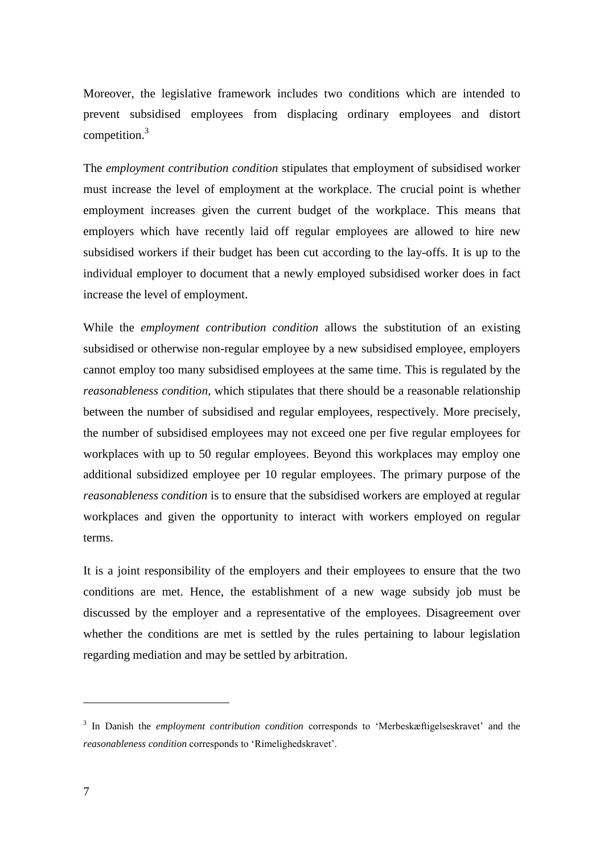Moreover, the legislative framework includes two conditions which are intended to prevent subsidised employees from displacing ordinary employees and distort competition.<sup>3</sup>

The *employment contribution condition* stipulates that employment of subsidised worker must increase the level of employment at the workplace. The crucial point is whether employment increases given the current budget of the workplace. This means that employers which have recently laid off regular employees are allowed to hire new subsidised workers if their budget has been cut according to the lay-offs. It is up to the individual employer to document that a newly employed subsidised worker does in fact increase the level of employment.

While the *employment contribution condition* allows the substitution of an existing subsidised or otherwise non-regular employee by a new subsidised employee, employers cannot employ too many subsidised employees at the same time. This is regulated by the *reasonableness condition*, which stipulates that there should be a reasonable relationship between the number of subsidised and regular employees, respectively. More precisely, the number of subsidised employees may not exceed one per five regular employees for workplaces with up to 50 regular employees. Beyond this workplaces may employ one additional subsidized employee per 10 regular employees. The primary purpose of the *reasonableness condition* is to ensure that the subsidised workers are employed at regular workplaces and given the opportunity to interact with workers employed on regular terms.

It is a joint responsibility of the employers and their employees to ensure that the two conditions are met. Hence, the establishment of a new wage subsidy job must be discussed by the employer and a representative of the employees. Disagreement over whether the conditions are met is settled by the rules pertaining to labour legislation regarding mediation and may be settled by arbitration.

<sup>3</sup> In Danish the *employment contribution condition* corresponds to 'Merbeskæftigelseskravet' and the *reasonableness condition* corresponds to 'Rimelighedskravet'.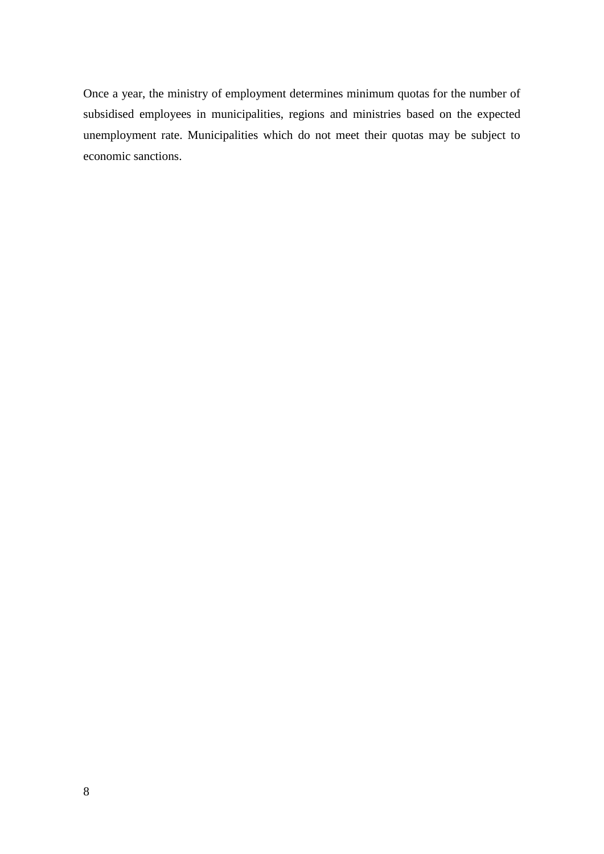Once a year, the ministry of employment determines minimum quotas for the number of subsidised employees in municipalities, regions and ministries based on the expected unemployment rate. Municipalities which do not meet their quotas may be subject to economic sanctions.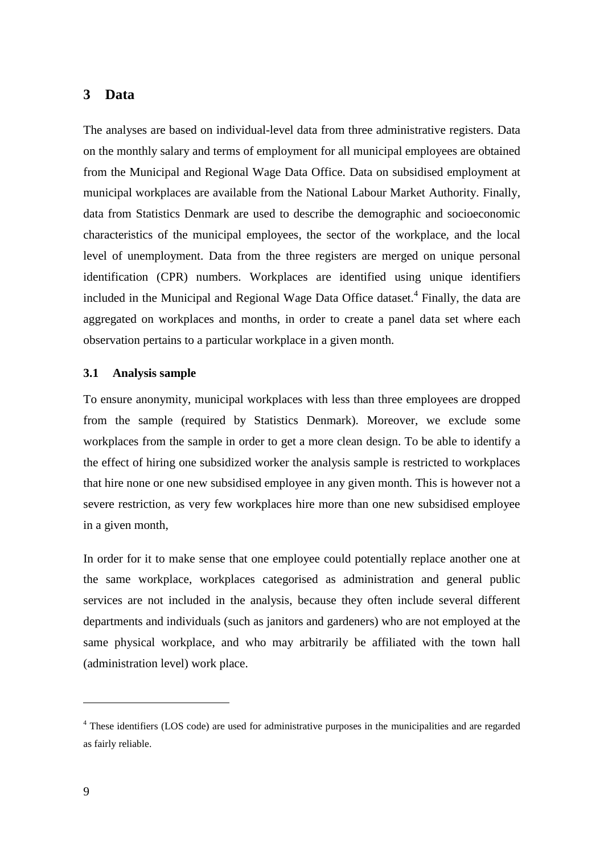# <span id="page-8-0"></span>**3 Data**

The analyses are based on individual-level data from three administrative registers. Data on the monthly salary and terms of employment for all municipal employees are obtained from the Municipal and Regional Wage Data Office. Data on subsidised employment at municipal workplaces are available from the National Labour Market Authority. Finally, data from Statistics Denmark are used to describe the demographic and socioeconomic characteristics of the municipal employees, the sector of the workplace, and the local level of unemployment. Data from the three registers are merged on unique personal identification (CPR) numbers. Workplaces are identified using unique identifiers included in the Municipal and Regional Wage Data Office dataset. 4 Finally, the data are aggregated on workplaces and months, in order to create a panel data set where each observation pertains to a particular workplace in a given month.

### <span id="page-8-1"></span>**3.1 Analysis sample**

To ensure anonymity, municipal workplaces with less than three employees are dropped from the sample (required by Statistics Denmark). Moreover, we exclude some workplaces from the sample in order to get a more clean design. To be able to identify a the effect of hiring one subsidized worker the analysis sample is restricted to workplaces that hire none or one new subsidised employee in any given month. This is however not a severe restriction, as very few workplaces hire more than one new subsidised employee in a given month,

In order for it to make sense that one employee could potentially replace another one at the same workplace, workplaces categorised as administration and general public services are not included in the analysis, because they often include several different departments and individuals (such as janitors and gardeners) who are not employed at the same physical workplace, and who may arbitrarily be affiliated with the town hall (administration level) work place.

<sup>&</sup>lt;sup>4</sup> These identifiers (LOS code) are used for administrative purposes in the municipalities and are regarded as fairly reliable.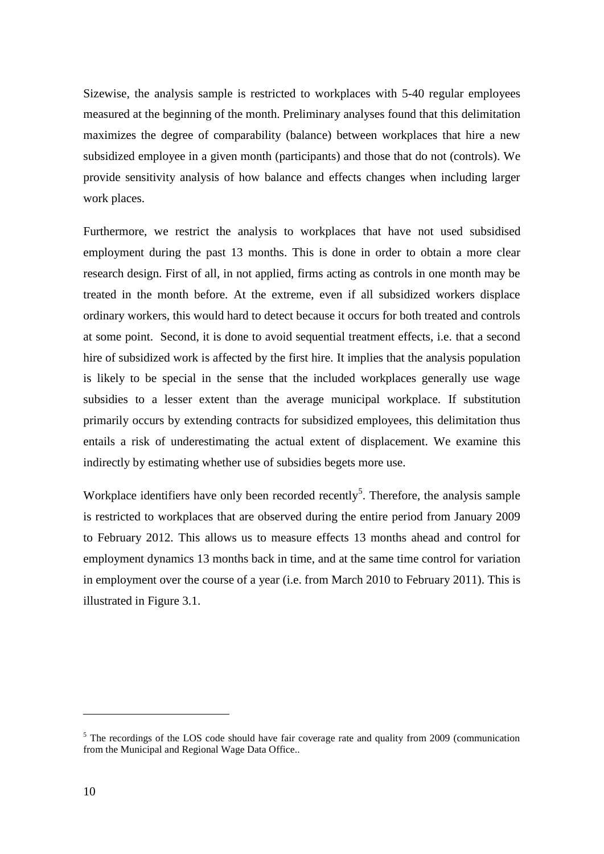Sizewise, the analysis sample is restricted to workplaces with 5-40 regular employees measured at the beginning of the month. Preliminary analyses found that this delimitation maximizes the degree of comparability (balance) between workplaces that hire a new subsidized employee in a given month (participants) and those that do not (controls). We provide sensitivity analysis of how balance and effects changes when including larger work places.

Furthermore, we restrict the analysis to workplaces that have not used subsidised employment during the past 13 months. This is done in order to obtain a more clear research design. First of all, in not applied, firms acting as controls in one month may be treated in the month before. At the extreme, even if all subsidized workers displace ordinary workers, this would hard to detect because it occurs for both treated and controls at some point. Second, it is done to avoid sequential treatment effects, i.e. that a second hire of subsidized work is affected by the first hire. It implies that the analysis population is likely to be special in the sense that the included workplaces generally use wage subsidies to a lesser extent than the average municipal workplace. If substitution primarily occurs by extending contracts for subsidized employees, this delimitation thus entails a risk of underestimating the actual extent of displacement. We examine this indirectly by estimating whether use of subsidies begets more use.

Workplace identifiers have only been recorded recently<sup>5</sup>. Therefore, the analysis sample is restricted to workplaces that are observed during the entire period from January 2009 to February 2012. This allows us to measure effects 13 months ahead and control for employment dynamics 13 months back in time, and at the same time control for variation in employment over the course of a year (i.e. from March 2010 to February 2011). This is illustrated in [Figure 3.1.](#page-10-0)

<sup>&</sup>lt;sup>5</sup> The recordings of the LOS code should have fair coverage rate and quality from 2009 (communication from the Municipal and Regional Wage Data Office..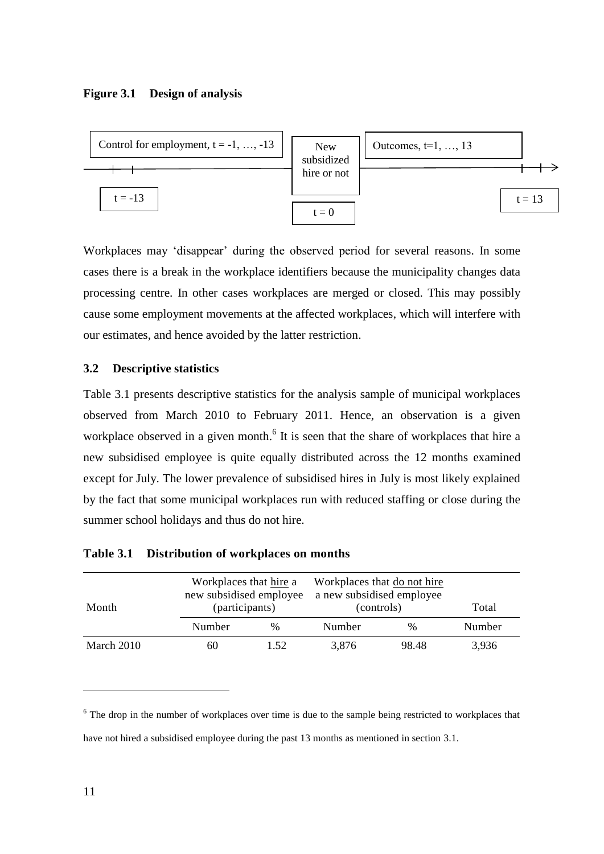### <span id="page-10-0"></span>**Figure 3.1 Design of analysis**



Workplaces may 'disappear' during the observed period for several reasons. In some cases there is a break in the workplace identifiers because the municipality changes data processing centre. In other cases workplaces are merged or closed. This may possibly cause some employment movements at the affected workplaces, which will interfere with our estimates, and hence avoided by the latter restriction.

### **3.2 Descriptive statistics**

[Table 3.1](#page-10-1) presents descriptive statistics for the analysis sample of municipal workplaces observed from March 2010 to February 2011. Hence, an observation is a given workplace observed in a given month.<sup>6</sup> It is seen that the share of workplaces that hire a new subsidised employee is quite equally distributed across the 12 months examined except for July. The lower prevalence of subsidised hires in July is most likely explained by the fact that some municipal workplaces run with reduced staffing or close during the summer school holidays and thus do not hire.

| Month      |        | Workplaces that hire a<br>new subsidised employee<br>(participants) |        | Workplaces that do not hire<br>a new subsidised employee<br>(controls) | Total  |
|------------|--------|---------------------------------------------------------------------|--------|------------------------------------------------------------------------|--------|
|            | Number | $\%$                                                                | Number | $\%$                                                                   | Number |
| March 2010 | 60     | 1.52                                                                | 3,876  | 98.48                                                                  | 3,936  |

### <span id="page-10-1"></span>**Table 3.1 Distribution of workplaces on months**

<sup>&</sup>lt;sup>6</sup> The drop in the number of workplaces over time is due to the sample being restricted to workplaces that have not hired a subsidised employee during the past 13 months as mentioned in section [3.1.](#page-8-1)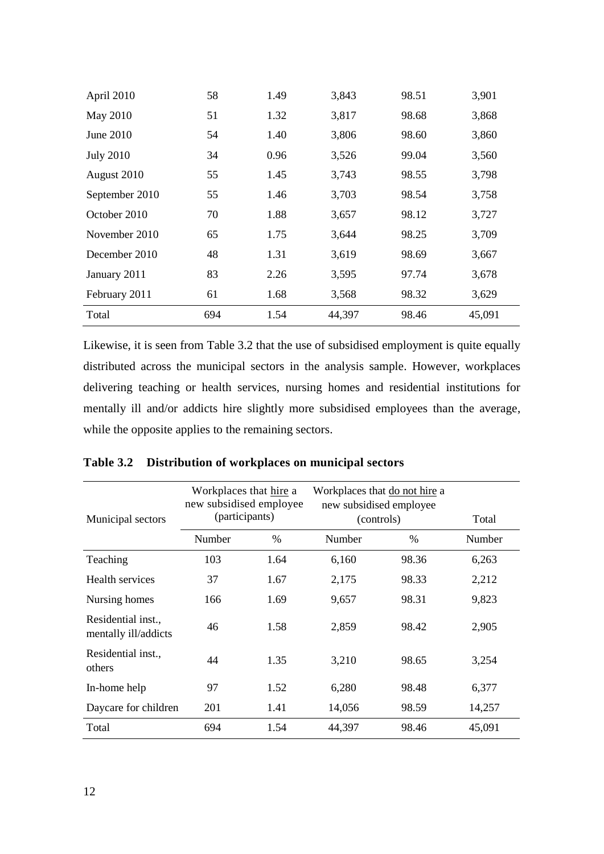| April 2010       | 58  | 1.49 | 3,843  | 98.51 | 3,901  |
|------------------|-----|------|--------|-------|--------|
| May 2010         | 51  | 1.32 | 3,817  | 98.68 | 3,868  |
| June 2010        | 54  | 1.40 | 3,806  | 98.60 | 3,860  |
| <b>July 2010</b> | 34  | 0.96 | 3,526  | 99.04 | 3,560  |
| August 2010      | 55  | 1.45 | 3,743  | 98.55 | 3,798  |
| September 2010   | 55  | 1.46 | 3,703  | 98.54 | 3,758  |
| October 2010     | 70  | 1.88 | 3,657  | 98.12 | 3,727  |
| November 2010    | 65  | 1.75 | 3,644  | 98.25 | 3,709  |
| December 2010    | 48  | 1.31 | 3,619  | 98.69 | 3,667  |
| January 2011     | 83  | 2.26 | 3,595  | 97.74 | 3,678  |
| February 2011    | 61  | 1.68 | 3,568  | 98.32 | 3,629  |
| Total            | 694 | 1.54 | 44,397 | 98.46 | 45,091 |

Likewise, it is seen from [Table 3.2](#page-11-0) that the use of subsidised employment is quite equally distributed across the municipal sectors in the analysis sample. However, workplaces delivering teaching or health services, nursing homes and residential institutions for mentally ill and/or addicts hire slightly more subsidised employees than the average, while the opposite applies to the remaining sectors.

| Municipal sectors                          | Workplaces that hire a<br>new subsidised employee<br>(participants) |               | Workplaces that do not hire a<br>new subsidised employee<br>(controls) |       | Total  |
|--------------------------------------------|---------------------------------------------------------------------|---------------|------------------------------------------------------------------------|-------|--------|
|                                            | Number                                                              | $\frac{0}{0}$ | Number                                                                 | %     | Number |
| Teaching                                   | 103                                                                 | 1.64          | 6,160                                                                  | 98.36 | 6,263  |
| Health services                            | 37                                                                  | 1.67          | 2,175                                                                  | 98.33 | 2,212  |
| Nursing homes                              | 166                                                                 | 1.69          | 9,657                                                                  | 98.31 | 9,823  |
| Residential inst.,<br>mentally ill/addicts | 46                                                                  | 1.58          | 2,859                                                                  | 98.42 | 2,905  |
| Residential inst.,<br>others               | 44                                                                  | 1.35          | 3,210                                                                  | 98.65 | 3,254  |
| In-home help                               | 97                                                                  | 1.52          | 6,280                                                                  | 98.48 | 6,377  |
| Daycare for children                       | 201                                                                 | 1.41          | 14,056                                                                 | 98.59 | 14,257 |
| Total                                      | 694                                                                 | 1.54          | 44,397                                                                 | 98.46 | 45,091 |

<span id="page-11-0"></span>**Table 3.2 Distribution of workplaces on municipal sectors**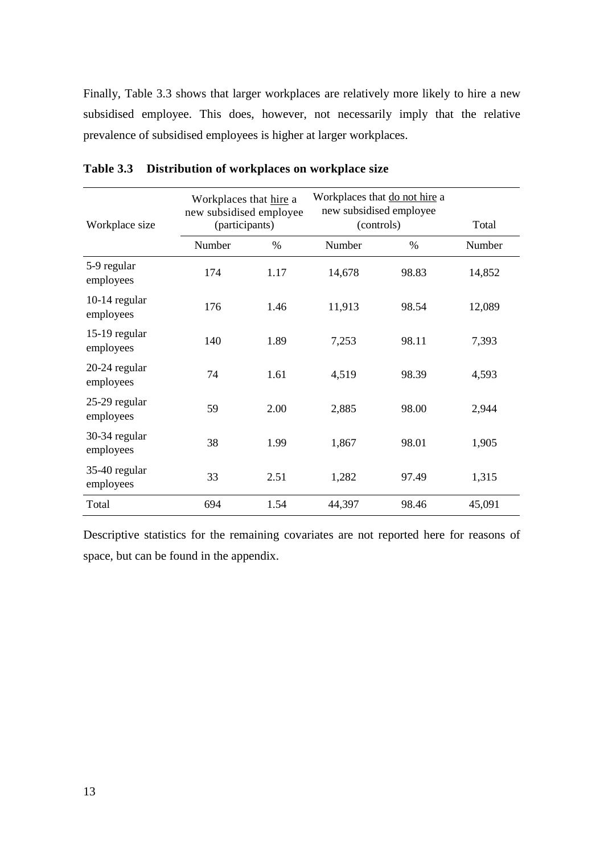Finally, [Table 3.3](#page-12-0) shows that larger workplaces are relatively more likely to hire a new subsidised employee. This does, however, not necessarily imply that the relative prevalence of subsidised employees is higher at larger workplaces.

| Workplace size               | Workplaces that hire a<br>new subsidised employee<br>(participants) |      | Workplaces that do not hire a<br>new subsidised employee<br>(controls) |       | Total  |
|------------------------------|---------------------------------------------------------------------|------|------------------------------------------------------------------------|-------|--------|
|                              | Number                                                              | $\%$ | Number                                                                 | $\%$  | Number |
| 5-9 regular<br>employees     | 174                                                                 | 1.17 | 14,678                                                                 | 98.83 | 14,852 |
| $10-14$ regular<br>employees | 176                                                                 | 1.46 | 11,913                                                                 | 98.54 | 12,089 |
| 15-19 regular<br>employees   | 140                                                                 | 1.89 | 7,253                                                                  | 98.11 | 7,393  |
| 20-24 regular<br>employees   | 74                                                                  | 1.61 | 4,519                                                                  | 98.39 | 4,593  |
| 25-29 regular<br>employees   | 59                                                                  | 2.00 | 2,885                                                                  | 98.00 | 2,944  |
| 30-34 regular<br>employees   | 38                                                                  | 1.99 | 1,867                                                                  | 98.01 | 1,905  |
| 35-40 regular<br>employees   | 33                                                                  | 2.51 | 1,282                                                                  | 97.49 | 1,315  |
| Total                        | 694                                                                 | 1.54 | 44,397                                                                 | 98.46 | 45,091 |

<span id="page-12-0"></span>

| Table 3.3 Distribution of workplaces on workplace size |  |  |  |
|--------------------------------------------------------|--|--|--|
|                                                        |  |  |  |

Descriptive statistics for the remaining covariates are not reported here for reasons of space, but can be found in the appendix.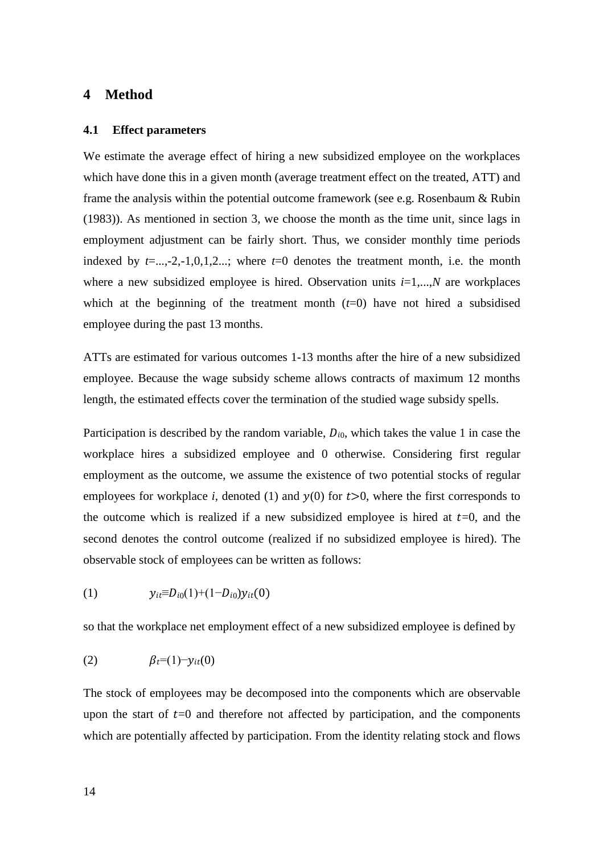## <span id="page-13-0"></span>**4 Method**

#### **4.1 Effect parameters**

We estimate the average effect of hiring a new subsidized employee on the workplaces which have done this in a given month (average treatment effect on the treated, ATT) and frame the analysis within the potential outcome framework (see e.g. Rosenbaum & Rubin (1983)). As mentioned in section [3,](#page-8-0) we choose the month as the time unit, since lags in employment adjustment can be fairly short. Thus, we consider monthly time periods indexed by  $t=$ ...,-2,-1,0,1,2...; where  $t=0$  denotes the treatment month, i.e. the month where a new subsidized employee is hired. Observation units  $i=1,...,N$  are workplaces which at the beginning of the treatment month  $(t=0)$  have not hired a subsidised employee during the past 13 months.

ATTs are estimated for various outcomes 1-13 months after the hire of a new subsidized employee. Because the wage subsidy scheme allows contracts of maximum 12 months length, the estimated effects cover the termination of the studied wage subsidy spells.

Participation is described by the random variable,  $D_{i0}$ , which takes the value 1 in case the workplace hires a subsidized employee and 0 otherwise. Considering first regular employment as the outcome, we assume the existence of two potential stocks of regular employees for workplace *i*, denoted (1) and  $y(0)$  for  $t>0$ , where the first corresponds to the outcome which is realized if a new subsidized employee is hired at  $t=0$ , and the second denotes the control outcome (realized if no subsidized employee is hired). The observable stock of employees can be written as follows:

(1) 
$$
y_{it} \equiv D_{i0}(1) + (1 - D_{i0})y_{it}(0)
$$

so that the workplace net employment effect of a new subsidized employee is defined by

$$
(2) \qquad \beta_t=(1)-y_{it}(0)
$$

The stock of employees may be decomposed into the components which are observable upon the start of  $t=0$  and therefore not affected by participation, and the components which are potentially affected by participation. From the identity relating stock and flows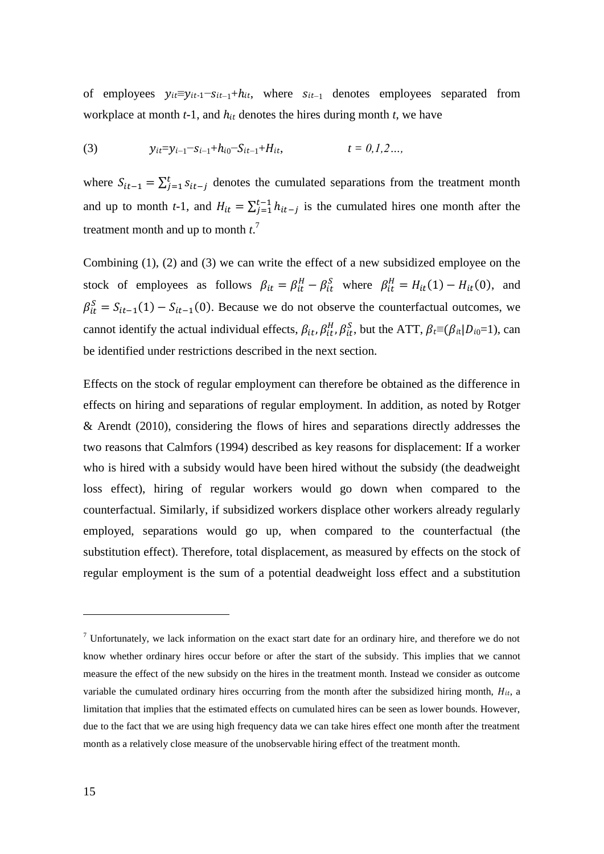of employees  $y_{it} \equiv y_{it-1} - s_{it-1} + h_{it}$ , where  $s_{it-1}$  denotes employees separated from workplace at month  $t-1$ , and  $h_{it}$  denotes the hires during month  $t$ , we have

(3) 
$$
y_{it} = y_{i-1} - s_{i-1} + h_{i0} - S_{it-1} + H_{it},
$$
  $t = 0, 1, 2, ...$ 

where  $S_{it-1} = \sum_{j=1}^{t} S_{it-j}$  denotes the cumulated separations from the treatment month and up to month *t*-1, and  $H_{it} = \sum_{j=1}^{t-1} h_{it-j}$  is the cumulated hires one month after the treatment month and up to month *t*. 7

Combining (1), (2) and (3) we can write the effect of a new subsidized employee on the stock of employees as follows  $\beta_{it} = \beta_{it}^H - \beta_{it}^S$  where  $\beta_{it}^H = H_{it}(1) - H_{it}(0)$ , and  $\beta_{it}^S = S_{it-1}(1) - S_{it-1}(0)$ . Because we do not observe the counterfactual outcomes, we cannot identify the actual individual effects,  $\beta_{it}, \beta_{it}^H, \beta_{it}^S$ , but the ATT,  $\beta_t \equiv (\beta_{it}|D_{i0}=1)$ , can be identified under restrictions described in the next section.

Effects on the stock of regular employment can therefore be obtained as the difference in effects on hiring and separations of regular employment. In addition, as noted by Rotger & Arendt (2010), considering the flows of hires and separations directly addresses the two reasons that Calmfors (1994) described as key reasons for displacement: If a worker who is hired with a subsidy would have been hired without the subsidy (the deadweight loss effect), hiring of regular workers would go down when compared to the counterfactual. Similarly, if subsidized workers displace other workers already regularly employed, separations would go up, when compared to the counterfactual (the substitution effect). Therefore, total displacement, as measured by effects on the stock of regular employment is the sum of a potential deadweight loss effect and a substitution

 $7$  Unfortunately, we lack information on the exact start date for an ordinary hire, and therefore we do not know whether ordinary hires occur before or after the start of the subsidy. This implies that we cannot measure the effect of the new subsidy on the hires in the treatment month. Instead we consider as outcome variable the cumulated ordinary hires occurring from the month after the subsidized hiring month,  $H_{it}$ , a limitation that implies that the estimated effects on cumulated hires can be seen as lower bounds. However, due to the fact that we are using high frequency data we can take hires effect one month after the treatment month as a relatively close measure of the unobservable hiring effect of the treatment month.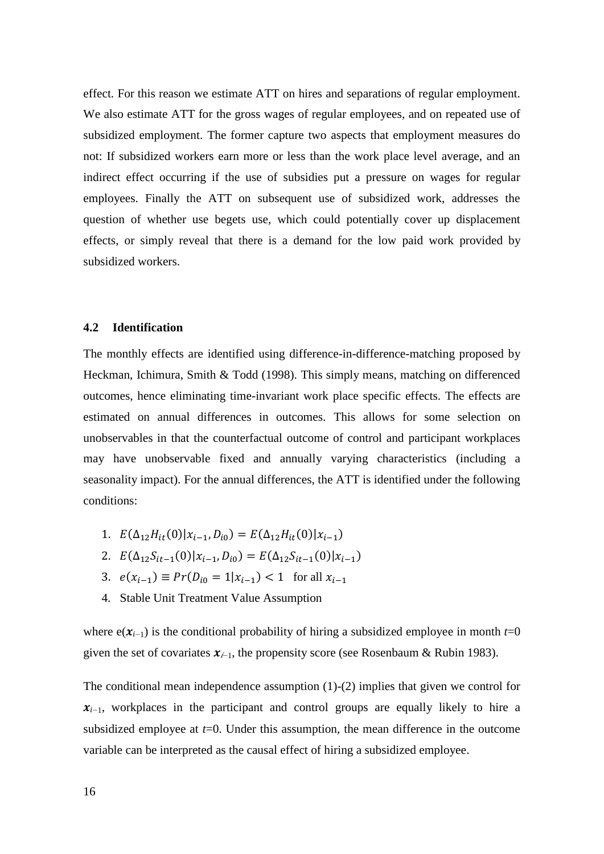effect. For this reason we estimate ATT on hires and separations of regular employment. We also estimate ATT for the gross wages of regular employees, and on repeated use of subsidized employment. The former capture two aspects that employment measures do not: If subsidized workers earn more or less than the work place level average, and an indirect effect occurring if the use of subsidies put a pressure on wages for regular employees. Finally the ATT on subsequent use of subsidized work, addresses the question of whether use begets use, which could potentially cover up displacement effects, or simply reveal that there is a demand for the low paid work provided by subsidized workers.

#### <span id="page-15-0"></span>**4.2 Identification**

The monthly effects are identified using difference-in-difference-matching proposed by Heckman, Ichimura, Smith & Todd (1998). This simply means, matching on differenced outcomes, hence eliminating time-invariant work place specific effects. The effects are estimated on annual differences in outcomes. This allows for some selection on unobservables in that the counterfactual outcome of control and participant workplaces may have unobservable fixed and annually varying characteristics (including a seasonality impact). For the annual differences, the ATT is identified under the following conditions:

- 1.  $E(\Delta_{12}H_{it}(0)|x_{i-1}, D_{i0}) = E(\Delta_{12}H_{it}(0)|x_{i-1})$
- 2.  $E(\Delta_{12}S_{it-1}(0)|x_{i-1}, D_{i0}) = E(\Delta_{12}S_{it-1}(0)|x_{i-1})$
- 3.  $e(x_{i-1}) \equiv Pr(D_{i0} = 1 | x_{i-1}) < 1$  for all
- 4. Stable Unit Treatment Value Assumption

where  $e(\mathbf{x}_{i-1})$  is the conditional probability of hiring a subsidized employee in month  $t=0$ given the set of covariates  $x_{i-1}$ , the propensity score (see Rosenbaum & Rubin 1983).

The conditional mean independence assumption (1)-(2) implies that given we control for  $x_{i-1}$ , workplaces in the participant and control groups are equally likely to hire a subsidized employee at *t*=0. Under this assumption, the mean difference in the outcome variable can be interpreted as the causal effect of hiring a subsidized employee.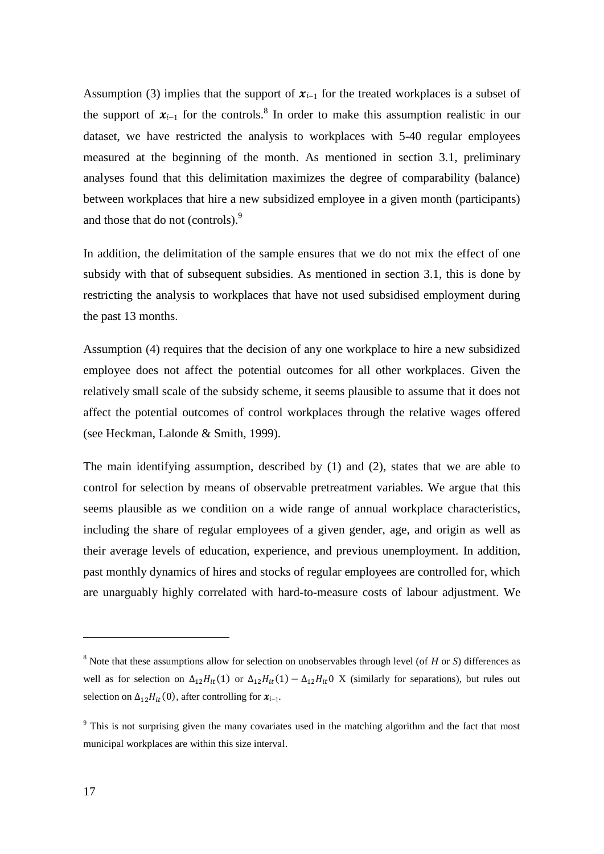Assumption (3) implies that the support of  $x_{i-1}$  for the treated workplaces is a subset of the support of  $x_{i-1}$  for the controls.<sup>8</sup> In order to make this assumption realistic in our dataset, we have restricted the analysis to workplaces with 5-40 regular employees measured at the beginning of the month. As mentioned in section [3.1,](#page-8-1) preliminary analyses found that this delimitation maximizes the degree of comparability (balance) between workplaces that hire a new subsidized employee in a given month (participants) and those that do not (controls).<sup>9</sup>

In addition, the delimitation of the sample ensures that we do not mix the effect of one subsidy with that of subsequent subsidies. As mentioned in section [3.1,](#page-8-1) this is done by restricting the analysis to workplaces that have not used subsidised employment during the past 13 months.

Assumption (4) requires that the decision of any one workplace to hire a new subsidized employee does not affect the potential outcomes for all other workplaces. Given the relatively small scale of the subsidy scheme, it seems plausible to assume that it does not affect the potential outcomes of control workplaces through the relative wages offered (see Heckman, Lalonde & Smith, 1999).

The main identifying assumption, described by (1) and (2), states that we are able to control for selection by means of observable pretreatment variables. We argue that this seems plausible as we condition on a wide range of annual workplace characteristics, including the share of regular employees of a given gender, age, and origin as well as their average levels of education, experience, and previous unemployment. In addition, past monthly dynamics of hires and stocks of regular employees are controlled for, which are unarguably highly correlated with hard-to-measure costs of labour adjustment. We

<sup>8</sup> Note that these assumptions allow for selection on unobservables through level (of *H* or *S*) differences as well as for selection on  $\Delta_{12} H_{it}(1)$  or  $\Delta_{12} H_{it}(1) - \Delta_{12} H_{it}$  X (similarly for separations), but rules out selection on  $\Delta_{12} H_{it}(0)$ , after controlling for  $x_{i-1}$ .

<sup>&</sup>lt;sup>9</sup> This is not surprising given the many covariates used in the matching algorithm and the fact that most municipal workplaces are within this size interval.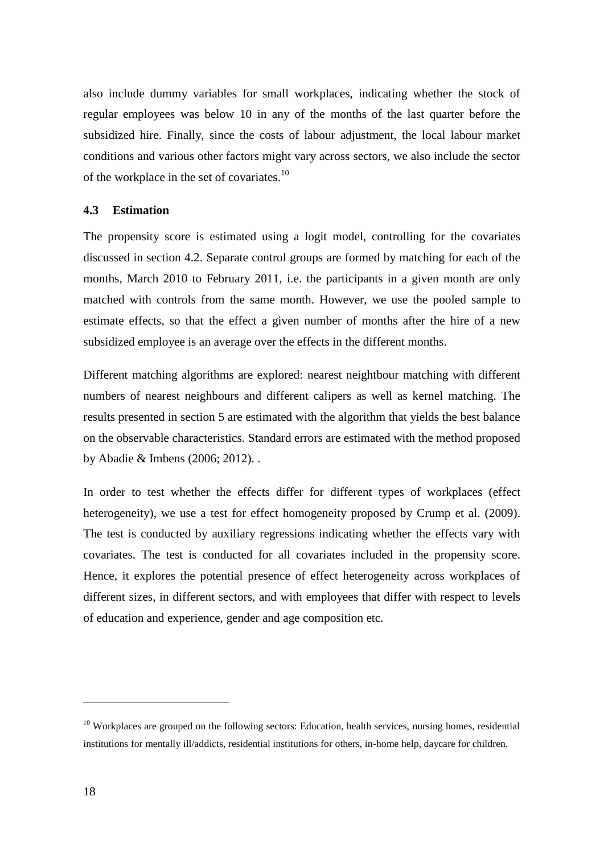also include dummy variables for small workplaces, indicating whether the stock of regular employees was below 10 in any of the months of the last quarter before the subsidized hire. Finally, since the costs of labour adjustment, the local labour market conditions and various other factors might vary across sectors, we also include the sector of the workplace in the set of covariates.<sup>10</sup>

### <span id="page-17-0"></span>**4.3 Estimation**

The propensity score is estimated using a logit model, controlling for the covariates discussed in section [4.2.](#page-15-0) Separate control groups are formed by matching for each of the months, March 2010 to February 2011, i.e. the participants in a given month are only matched with controls from the same month. However, we use the pooled sample to estimate effects, so that the effect a given number of months after the hire of a new subsidized employee is an average over the effects in the different months.

Different matching algorithms are explored: nearest neightbour matching with different numbers of nearest neighbours and different calipers as well as kernel matching. The results presented in section [5](#page-18-0) are estimated with the algorithm that yields the best balance on the observable characteristics. Standard errors are estimated with the method proposed by Abadie & Imbens (2006; 2012). .

In order to test whether the effects differ for different types of workplaces (effect heterogeneity), we use a test for effect homogeneity proposed by Crump et al. (2009). The test is conducted by auxiliary regressions indicating whether the effects vary with covariates. The test is conducted for all covariates included in the propensity score. Hence, it explores the potential presence of effect heterogeneity across workplaces of different sizes, in different sectors, and with employees that differ with respect to levels of education and experience, gender and age composition etc.

<sup>&</sup>lt;sup>10</sup> Workplaces are grouped on the following sectors: Education, health services, nursing homes, residential institutions for mentally ill/addicts, residential institutions for others, in-home help, daycare for children.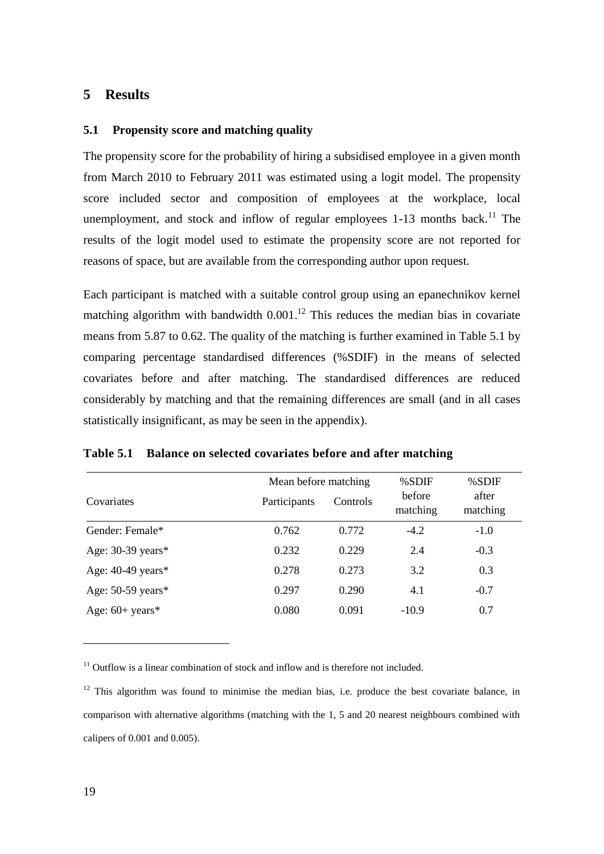# <span id="page-18-0"></span>**5 Results**

### <span id="page-18-2"></span>**5.1 Propensity score and matching quality**

The propensity score for the probability of hiring a subsidised employee in a given month from March 2010 to February 2011 was estimated using a logit model. The propensity score included sector and composition of employees at the workplace, local unemployment, and stock and inflow of regular employees  $1-13$  months back.<sup>11</sup> The results of the logit model used to estimate the propensity score are not reported for reasons of space, but are available from the corresponding author upon request.

Each participant is matched with a suitable control group using an epanechnikov kernel matching algorithm with bandwidth  $0.001$ .<sup>12</sup> This reduces the median bias in covariate means from 5.87 to 0.62. The quality of the matching is further examined in [Table 5.1](#page-18-1) by comparing percentage standardised differences (%SDIF) in the means of selected covariates before and after matching. The standardised differences are reduced considerably by matching and that the remaining differences are small (and in all cases statistically insignificant, as may be seen in the appendix).

|                     | Mean before matching |          | %SDIF              | %SDIF             |  |
|---------------------|----------------------|----------|--------------------|-------------------|--|
| Covariates          | Participants         | Controls | before<br>matching | after<br>matching |  |
| Gender: Female*     | 0.762                | 0.772    | $-4.2$             | $-1.0$            |  |
| Age: 30-39 years*   | 0.232                | 0.229    | 2.4                | $-0.3$            |  |
| Age: $40-49$ years* | 0.278                | 0.273    | 3.2                | 0.3               |  |
| Age: $50-59$ years* | 0.297                | 0.290    | 4.1                | $-0.7$            |  |
| Age: $60+$ years*   | 0.080                | 0.091    | $-10.9$            | 0.7               |  |

### <span id="page-18-1"></span>**Table 5.1 Balance on selected covariates before and after matching**

 $11$  Outflow is a linear combination of stock and inflow and is therefore not included.

 $12$  This algorithm was found to minimise the median bias, i.e. produce the best covariate balance, in comparison with alternative algorithms (matching with the 1, 5 and 20 nearest neighbours combined with calipers of 0.001 and 0.005).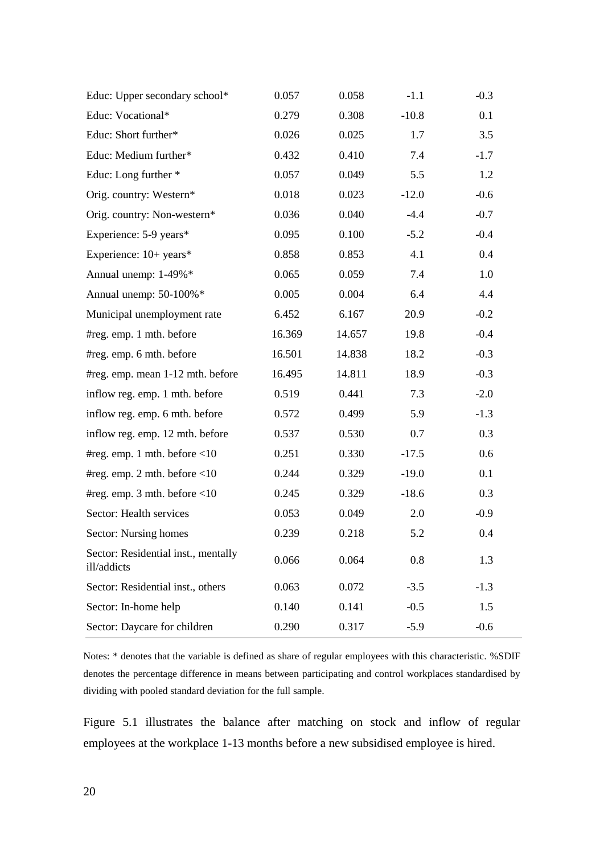| Educ: Upper secondary school*                      | 0.057  | 0.058  | $-1.1$  | $-0.3$ |
|----------------------------------------------------|--------|--------|---------|--------|
| Educ: Vocational*                                  | 0.279  | 0.308  | $-10.8$ | 0.1    |
| Educ: Short further*                               | 0.026  | 0.025  | 1.7     | 3.5    |
| Educ: Medium further*                              | 0.432  | 0.410  | 7.4     | $-1.7$ |
| Educ: Long further *                               | 0.057  | 0.049  | 5.5     | 1.2    |
| Orig. country: Western*                            | 0.018  | 0.023  | $-12.0$ | $-0.6$ |
| Orig. country: Non-western*                        | 0.036  | 0.040  | $-4.4$  | $-0.7$ |
| Experience: 5-9 years*                             | 0.095  | 0.100  | $-5.2$  | $-0.4$ |
| Experience: 10+ years*                             | 0.858  | 0.853  | 4.1     | 0.4    |
| Annual unemp: 1-49%*                               | 0.065  | 0.059  | 7.4     | 1.0    |
| Annual unemp: 50-100%*                             | 0.005  | 0.004  | 6.4     | 4.4    |
| Municipal unemployment rate                        | 6.452  | 6.167  | 20.9    | $-0.2$ |
| #reg. emp. 1 mth. before                           | 16.369 | 14.657 | 19.8    | $-0.4$ |
| #reg. emp. 6 mth. before                           | 16.501 | 14.838 | 18.2    | $-0.3$ |
| #reg. emp. mean 1-12 mth. before                   | 16.495 | 14.811 | 18.9    | $-0.3$ |
| inflow reg. emp. 1 mth. before                     | 0.519  | 0.441  | 7.3     | $-2.0$ |
| inflow reg. emp. 6 mth. before                     | 0.572  | 0.499  | 5.9     | $-1.3$ |
| inflow reg. emp. 12 mth. before                    | 0.537  | 0.530  | 0.7     | 0.3    |
| #reg. emp. 1 mth. before $\leq 10$                 | 0.251  | 0.330  | $-17.5$ | 0.6    |
| #reg. emp. 2 mth. before $\leq 10$                 | 0.244  | 0.329  | $-19.0$ | 0.1    |
| #reg. emp. 3 mth. before $\leq 10$                 | 0.245  | 0.329  | $-18.6$ | 0.3    |
| Sector: Health services                            | 0.053  | 0.049  | 2.0     | $-0.9$ |
| Sector: Nursing homes                              | 0.239  | 0.218  | 5.2     | 0.4    |
| Sector: Residential inst., mentally<br>ill/addicts | 0.066  | 0.064  | 0.8     | 1.3    |
| Sector: Residential inst., others                  | 0.063  | 0.072  | $-3.5$  | $-1.3$ |
| Sector: In-home help                               | 0.140  | 0.141  | $-0.5$  | 1.5    |
| Sector: Daycare for children                       | 0.290  | 0.317  | $-5.9$  | $-0.6$ |

Notes: \* denotes that the variable is defined as share of regular employees with this characteristic. %SDIF denotes the percentage difference in means between participating and control workplaces standardised by dividing with pooled standard deviation for the full sample.

[Figure 5.1](#page-20-0) illustrates the balance after matching on stock and inflow of regular employees at the workplace 1-13 months before a new subsidised employee is hired.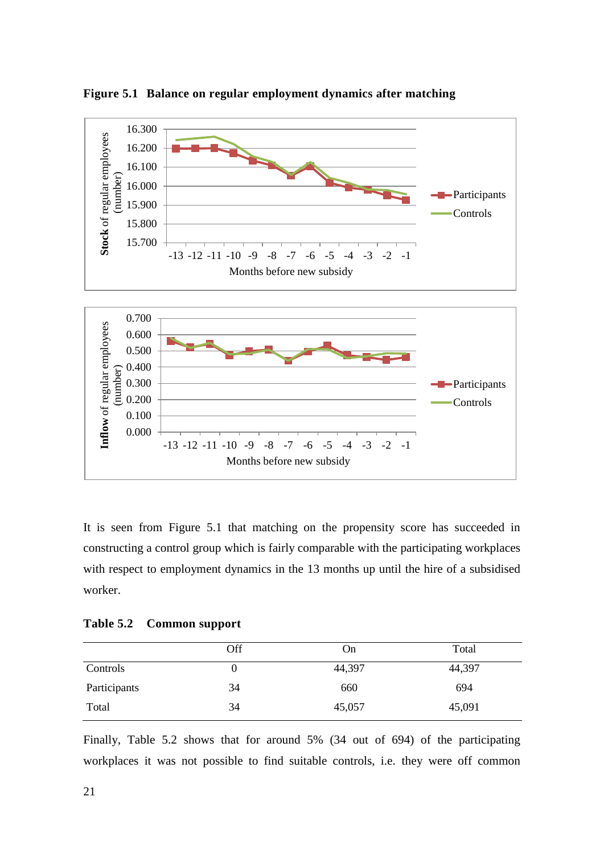

<span id="page-20-0"></span>**Figure 5.1 Balance on regular employment dynamics after matching**

It is seen from [Figure 5.1](#page-20-0) that matching on the propensity score has succeeded in constructing a control group which is fairly comparable with the participating workplaces with respect to employment dynamics in the 13 months up until the hire of a subsidised worker.

<span id="page-20-1"></span>

| <b>Table 5.2</b> | Common support |  |  |
|------------------|----------------|--|--|
|------------------|----------------|--|--|

|              | Off | On     | Total  |
|--------------|-----|--------|--------|
| Controls     |     | 44,397 | 44,397 |
| Participants | 34  | 660    | 694    |
| Total        | 34  | 45,057 | 45,091 |

Finally, [Table 5.2](#page-20-1) shows that for around 5% (34 out of 694) of the participating workplaces it was not possible to find suitable controls, i.e. they were off common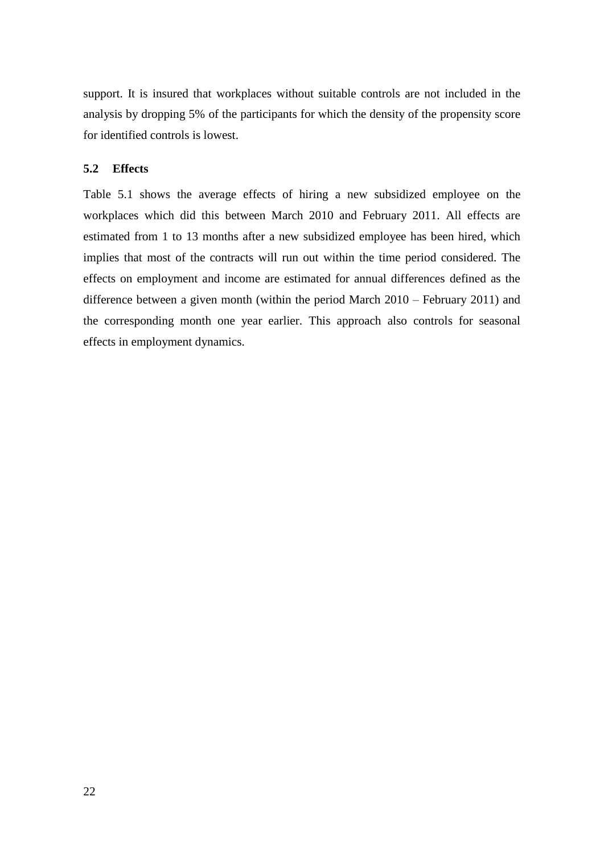support. It is insured that workplaces without suitable controls are not included in the analysis by dropping 5% of the participants for which the density of the propensity score for identified controls is lowest.

### **5.2 Effects**

[Table 5.1](#page-18-1) shows the average effects of hiring a new subsidized employee on the workplaces which did this between March 2010 and February 2011. All effects are estimated from 1 to 13 months after a new subsidized employee has been hired, which implies that most of the contracts will run out within the time period considered. The effects on employment and income are estimated for annual differences defined as the difference between a given month (within the period March 2010 – February 2011) and the corresponding month one year earlier. This approach also controls for seasonal effects in employment dynamics.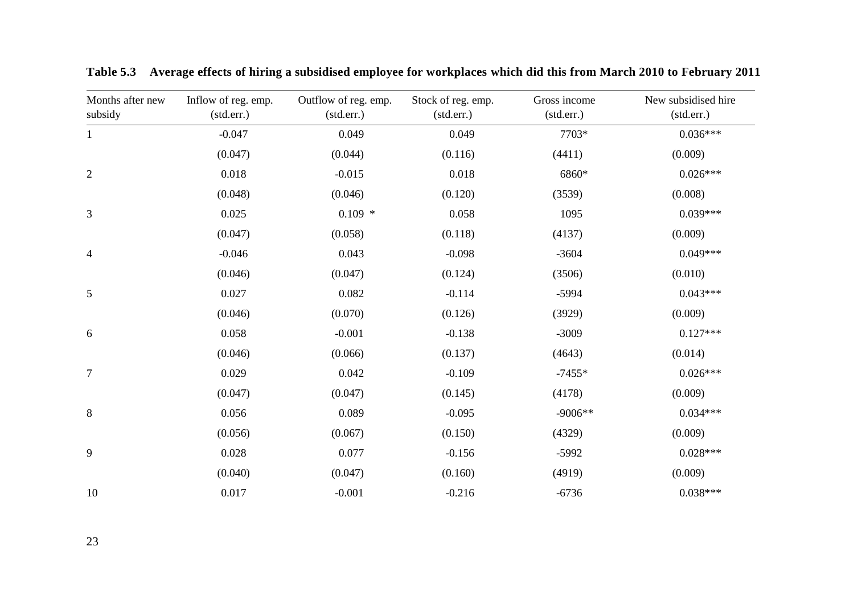<span id="page-22-0"></span>

| Months after new<br>subsidy | Inflow of reg. emp.<br>(stat.err.) | Outflow of reg. emp.<br>(std.err.) | Stock of reg. emp.<br>(stat. | Gross income<br>(std.err.) | New subsidised hire<br>(stat.err.) |
|-----------------------------|------------------------------------|------------------------------------|------------------------------|----------------------------|------------------------------------|
| $\mathbf{1}$                | $-0.047$                           | 0.049                              | 0.049                        | 7703*                      | $0.036***$                         |
|                             | (0.047)                            | (0.044)                            | (0.116)                      | (4411)                     | (0.009)                            |
| $\mathbf{2}$                | 0.018                              | $-0.015$                           | 0.018                        | 6860*                      | $0.026***$                         |
|                             | (0.048)                            | (0.046)                            | (0.120)                      | (3539)                     | (0.008)                            |
| 3                           | 0.025                              | $0.109$ *                          | 0.058                        | 1095                       | $0.039***$                         |
|                             | (0.047)                            | (0.058)                            | (0.118)                      | (4137)                     | (0.009)                            |
| $\overline{4}$              | $-0.046$                           | 0.043                              | $-0.098$                     | $-3604$                    | $0.049***$                         |
|                             | (0.046)                            | (0.047)                            | (0.124)                      | (3506)                     | (0.010)                            |
| 5                           | 0.027                              | 0.082                              | $-0.114$                     | $-5994$                    | $0.043***$                         |
|                             | (0.046)                            | (0.070)                            | (0.126)                      | (3929)                     | (0.009)                            |
| 6                           | 0.058                              | $-0.001$                           | $-0.138$                     | $-3009$                    | $0.127***$                         |
|                             | (0.046)                            | (0.066)                            | (0.137)                      | (4643)                     | (0.014)                            |
| $\tau$                      | 0.029                              | 0.042                              | $-0.109$                     | $-7455*$                   | $0.026***$                         |
|                             | (0.047)                            | (0.047)                            | (0.145)                      | (4178)                     | (0.009)                            |
| $\,8\,$                     | 0.056                              | 0.089                              | $-0.095$                     | $-9006**$                  | $0.034***$                         |
|                             | (0.056)                            | (0.067)                            | (0.150)                      | (4329)                     | (0.009)                            |
| 9                           | 0.028                              | 0.077                              | $-0.156$                     | $-5992$                    | $0.028***$                         |
|                             | (0.040)                            | (0.047)                            | (0.160)                      | (4919)                     | (0.009)                            |
| 10                          | 0.017                              | $-0.001$                           | $-0.216$                     | $-6736$                    | $0.038***$                         |

**Table 5.3 Average effects of hiring a subsidised employee for workplaces which did this from March 2010 to February 2011**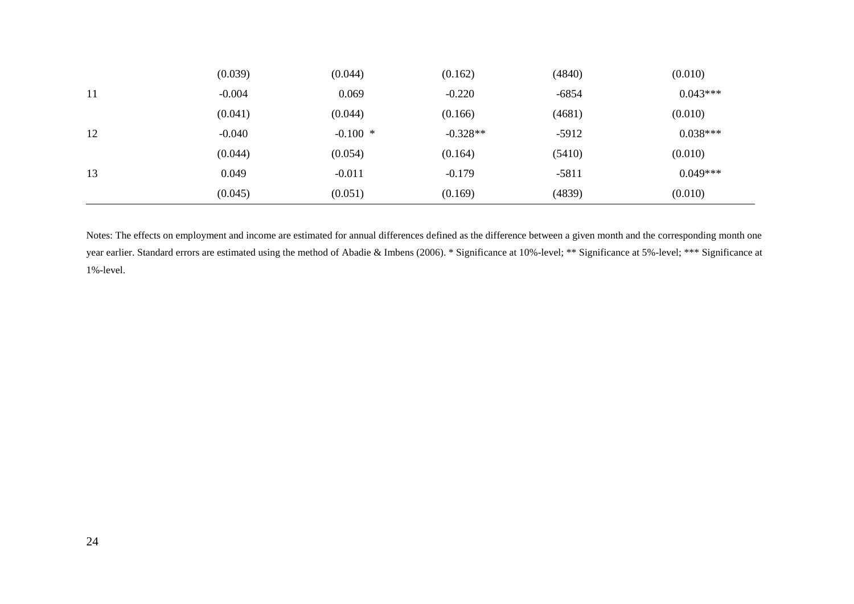|    | (0.039)  | (0.044)   | (0.162)    | (4840)  | (0.010)    |
|----|----------|-----------|------------|---------|------------|
| 11 | $-0.004$ | 0.069     | $-0.220$   | $-6854$ | $0.043***$ |
|    | (0.041)  | (0.044)   | (0.166)    | (4681)  | (0.010)    |
| 12 | $-0.040$ | $-0.100*$ | $-0.328**$ | $-5912$ | $0.038***$ |
|    | (0.044)  | (0.054)   | (0.164)    | (5410)  | (0.010)    |
| 13 | 0.049    | $-0.011$  | $-0.179$   | $-5811$ | $0.049***$ |
|    | (0.045)  | (0.051)   | (0.169)    | (4839)  | (0.010)    |

Notes: The effects on employment and income are estimated for annual differences defined as the difference between a given month and the corresponding month one year earlier. Standard errors are estimated using the method of Abadie & Imbens (2006). \* Significance at 10%-level; \*\* Significance at 5%-level; \*\*\* Significance at 1%-level.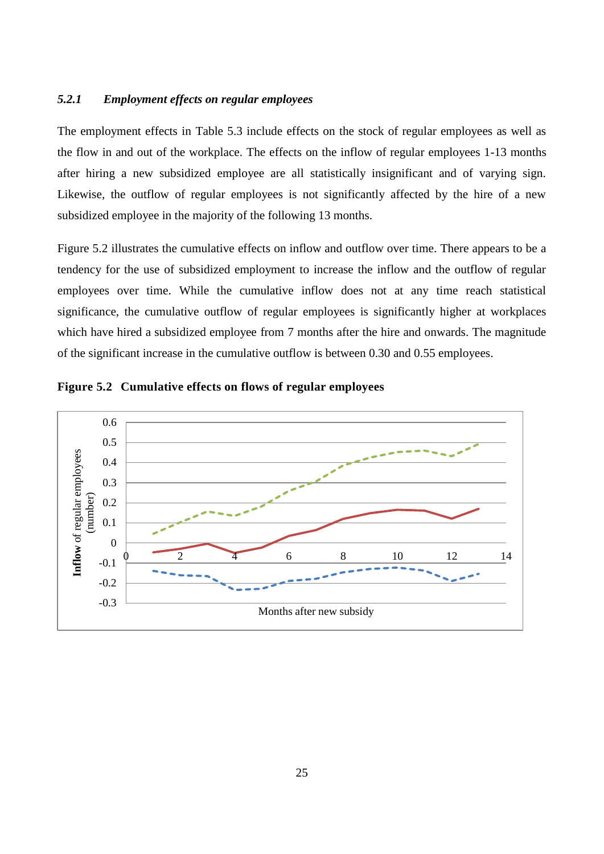## *5.2.1 Employment effects on regular employees*

The employment effects in [Table 5.3](#page-22-0) include effects on the stock of regular employees as well as the flow in and out of the workplace. The effects on the inflow of regular employees 1-13 months after hiring a new subsidized employee are all statistically insignificant and of varying sign. Likewise, the outflow of regular employees is not significantly affected by the hire of a new subsidized employee in the majority of the following 13 months.

[Figure 5.2](#page-24-0) illustrates the cumulative effects on inflow and outflow over time. There appears to be a tendency for the use of subsidized employment to increase the inflow and the outflow of regular employees over time. While the cumulative inflow does not at any time reach statistical significance, the cumulative outflow of regular employees is significantly higher at workplaces which have hired a subsidized employee from 7 months after the hire and onwards. The magnitude of the significant increase in the cumulative outflow is between 0.30 and 0.55 employees.



<span id="page-24-0"></span>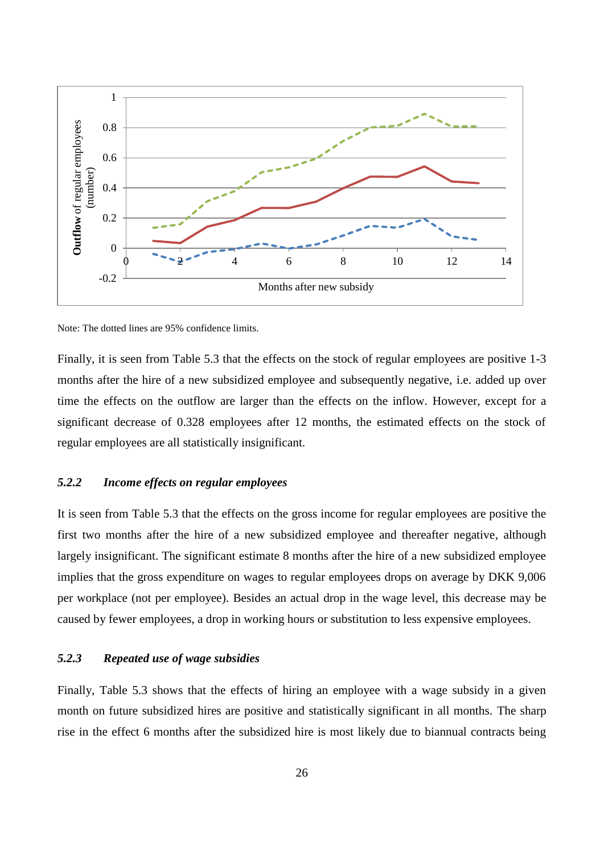

Note: The dotted lines are 95% confidence limits.

Finally, it is seen from [Table 5.3](#page-22-0) that the effects on the stock of regular employees are positive 1-3 months after the hire of a new subsidized employee and subsequently negative, i.e. added up over time the effects on the outflow are larger than the effects on the inflow. However, except for a significant decrease of 0.328 employees after 12 months, the estimated effects on the stock of regular employees are all statistically insignificant.

## *5.2.2 Income effects on regular employees*

It is seen from [Table 5.3](#page-22-0) that the effects on the gross income for regular employees are positive the first two months after the hire of a new subsidized employee and thereafter negative, although largely insignificant. The significant estimate 8 months after the hire of a new subsidized employee implies that the gross expenditure on wages to regular employees drops on average by DKK 9,006 per workplace (not per employee). Besides an actual drop in the wage level, this decrease may be caused by fewer employees, a drop in working hours or substitution to less expensive employees.

#### *5.2.3 Repeated use of wage subsidies*

Finally, [Table 5.3](#page-22-0) shows that the effects of hiring an employee with a wage subsidy in a given month on future subsidized hires are positive and statistically significant in all months. The sharp rise in the effect 6 months after the subsidized hire is most likely due to biannual contracts being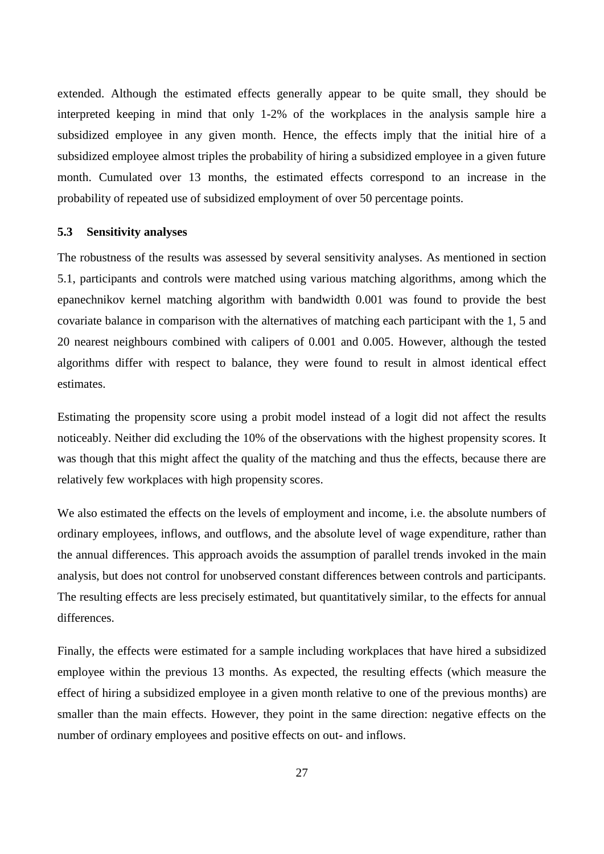extended. Although the estimated effects generally appear to be quite small, they should be interpreted keeping in mind that only 1-2% of the workplaces in the analysis sample hire a subsidized employee in any given month. Hence, the effects imply that the initial hire of a subsidized employee almost triples the probability of hiring a subsidized employee in a given future month. Cumulated over 13 months, the estimated effects correspond to an increase in the probability of repeated use of subsidized employment of over 50 percentage points.

#### <span id="page-26-0"></span>**5.3 Sensitivity analyses**

The robustness of the results was assessed by several sensitivity analyses. As mentioned in section [5.1,](#page-18-2) participants and controls were matched using various matching algorithms, among which the epanechnikov kernel matching algorithm with bandwidth 0.001 was found to provide the best covariate balance in comparison with the alternatives of matching each participant with the 1, 5 and 20 nearest neighbours combined with calipers of 0.001 and 0.005. However, although the tested algorithms differ with respect to balance, they were found to result in almost identical effect estimates.

Estimating the propensity score using a probit model instead of a logit did not affect the results noticeably. Neither did excluding the 10% of the observations with the highest propensity scores. It was though that this might affect the quality of the matching and thus the effects, because there are relatively few workplaces with high propensity scores.

We also estimated the effects on the levels of employment and income, i.e. the absolute numbers of ordinary employees, inflows, and outflows, and the absolute level of wage expenditure, rather than the annual differences. This approach avoids the assumption of parallel trends invoked in the main analysis, but does not control for unobserved constant differences between controls and participants. The resulting effects are less precisely estimated, but quantitatively similar, to the effects for annual differences.

Finally, the effects were estimated for a sample including workplaces that have hired a subsidized employee within the previous 13 months. As expected, the resulting effects (which measure the effect of hiring a subsidized employee in a given month relative to one of the previous months) are smaller than the main effects. However, they point in the same direction: negative effects on the number of ordinary employees and positive effects on out- and inflows.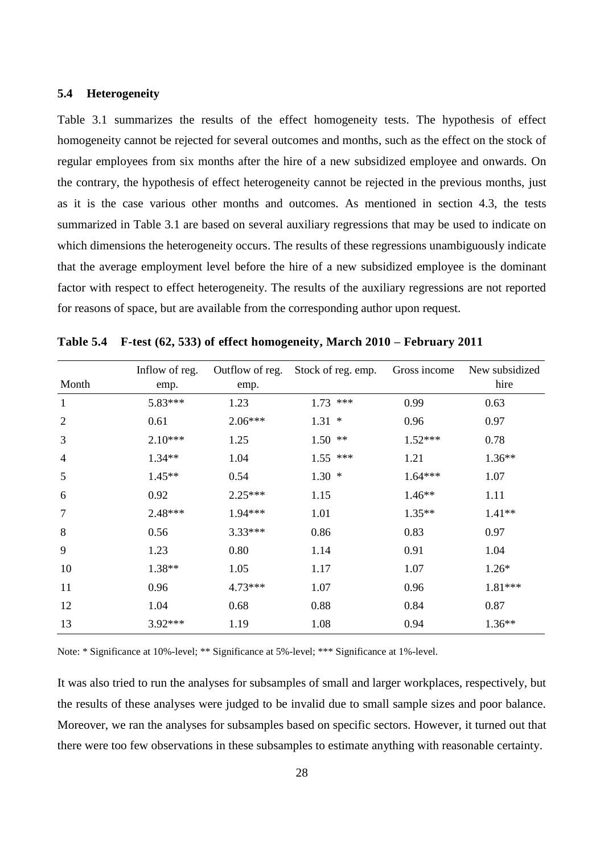### **5.4 Heterogeneity**

[Table 3.1](#page-10-1) summarizes the results of the effect homogeneity tests. The hypothesis of effect homogeneity cannot be rejected for several outcomes and months, such as the effect on the stock of regular employees from six months after the hire of a new subsidized employee and onwards. On the contrary, the hypothesis of effect heterogeneity cannot be rejected in the previous months, just as it is the case various other months and outcomes. As mentioned in section [4.3,](#page-17-0) the tests summarized in [Table 3.1](#page-10-1) are based on several auxiliary regressions that may be used to indicate on which dimensions the heterogeneity occurs. The results of these regressions unambiguously indicate that the average employment level before the hire of a new subsidized employee is the dominant factor with respect to effect heterogeneity. The results of the auxiliary regressions are not reported for reasons of space, but are available from the corresponding author upon request.

| Month          | Inflow of reg.<br>emp. | Outflow of reg.<br>emp. | Stock of reg. emp. | Gross income | New subsidized<br>hire |
|----------------|------------------------|-------------------------|--------------------|--------------|------------------------|
| $\mathbf{1}$   | 5.83***                | 1.23                    | $1.73$ ***         | 0.99         | 0.63                   |
| $\overline{2}$ | 0.61                   | $2.06***$               | $1.31 *$           | 0.96         | 0.97                   |
| 3              | $2.10***$              | 1.25                    | $1.50$ **          | $1.52***$    | 0.78                   |
| $\overline{4}$ | $1.34**$               | 1.04                    | $1.55$ ***         | 1.21         | $1.36**$               |
| 5              | $1.45**$               | 0.54                    | 1.30<br>$\ast$     | $1.64***$    | 1.07                   |
| 6              | 0.92                   | $2.25***$               | 1.15               | $1.46**$     | 1.11                   |
| $\tau$         | 2.48***                | 1.94***                 | 1.01               | $1.35**$     | $1.41**$               |
| 8              | 0.56                   | $3.33***$               | 0.86               | 0.83         | 0.97                   |
| 9              | 1.23                   | 0.80                    | 1.14               | 0.91         | 1.04                   |
| 10             | 1.38**                 | 1.05                    | 1.17               | 1.07         | $1.26*$                |
| 11             | 0.96                   | $4.73***$               | 1.07               | 0.96         | 1.81***                |
| 12             | 1.04                   | 0.68                    | 0.88               | 0.84         | 0.87                   |
| 13             | $3.92***$              | 1.19                    | 1.08               | 0.94         | $1.36**$               |

**Table 5.4 F-test (62, 533) of effect homogeneity, March 2010 – February 2011**

Note: \* Significance at 10%-level; \*\* Significance at 5%-level; \*\*\* Significance at 1%-level.

It was also tried to run the analyses for subsamples of small and larger workplaces, respectively, but the results of these analyses were judged to be invalid due to small sample sizes and poor balance. Moreover, we ran the analyses for subsamples based on specific sectors. However, it turned out that there were too few observations in these subsamples to estimate anything with reasonable certainty.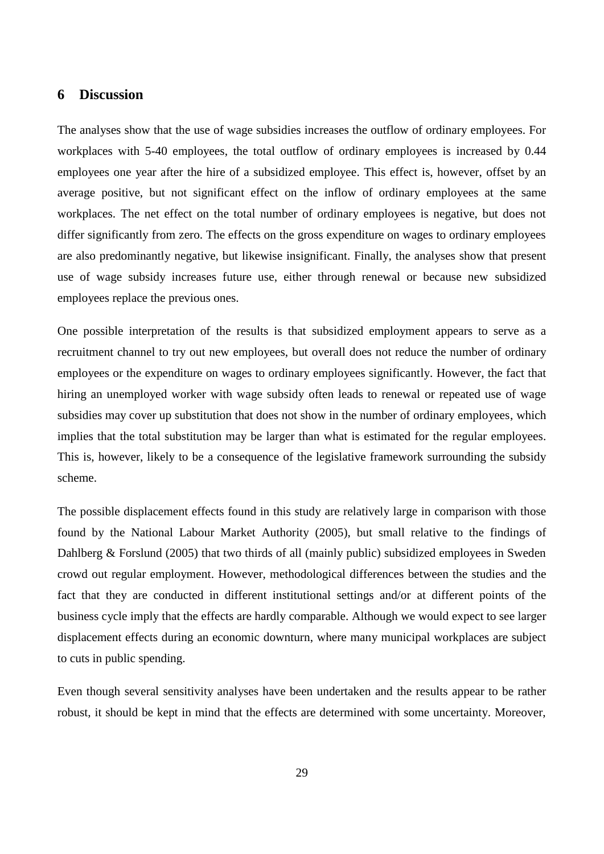# <span id="page-28-0"></span>**6 Discussion**

The analyses show that the use of wage subsidies increases the outflow of ordinary employees. For workplaces with 5-40 employees, the total outflow of ordinary employees is increased by 0.44 employees one year after the hire of a subsidized employee. This effect is, however, offset by an average positive, but not significant effect on the inflow of ordinary employees at the same workplaces. The net effect on the total number of ordinary employees is negative, but does not differ significantly from zero. The effects on the gross expenditure on wages to ordinary employees are also predominantly negative, but likewise insignificant. Finally, the analyses show that present use of wage subsidy increases future use, either through renewal or because new subsidized employees replace the previous ones.

One possible interpretation of the results is that subsidized employment appears to serve as a recruitment channel to try out new employees, but overall does not reduce the number of ordinary employees or the expenditure on wages to ordinary employees significantly. However, the fact that hiring an unemployed worker with wage subsidy often leads to renewal or repeated use of wage subsidies may cover up substitution that does not show in the number of ordinary employees, which implies that the total substitution may be larger than what is estimated for the regular employees. This is, however, likely to be a consequence of the legislative framework surrounding the subsidy scheme.

The possible displacement effects found in this study are relatively large in comparison with those found by the National Labour Market Authority (2005), but small relative to the findings of Dahlberg & Forslund (2005) that two thirds of all (mainly public) subsidized employees in Sweden crowd out regular employment. However, methodological differences between the studies and the fact that they are conducted in different institutional settings and/or at different points of the business cycle imply that the effects are hardly comparable. Although we would expect to see larger displacement effects during an economic downturn, where many municipal workplaces are subject to cuts in public spending.

Even though several sensitivity analyses have been undertaken and the results appear to be rather robust, it should be kept in mind that the effects are determined with some uncertainty. Moreover,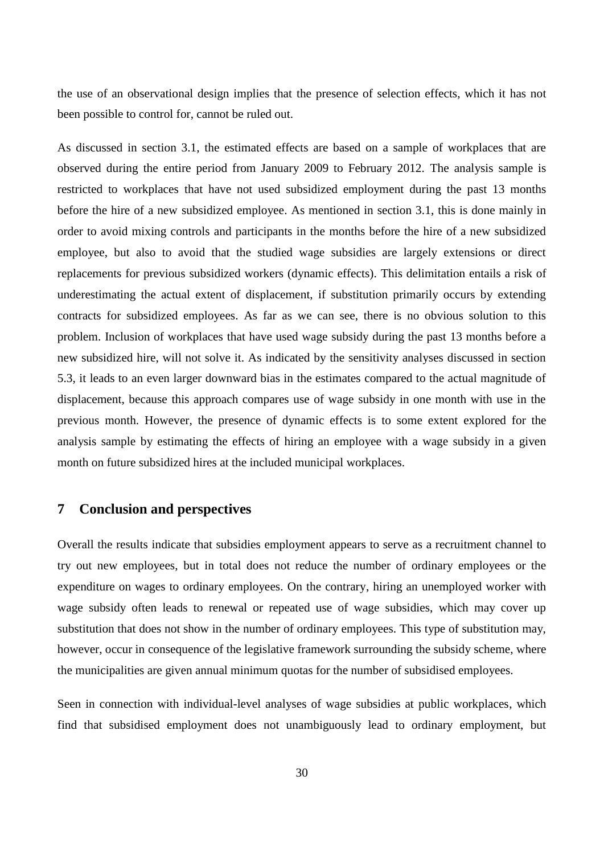the use of an observational design implies that the presence of selection effects, which it has not been possible to control for, cannot be ruled out.

As discussed in section [3.1,](#page-8-1) the estimated effects are based on a sample of workplaces that are observed during the entire period from January 2009 to February 2012. The analysis sample is restricted to workplaces that have not used subsidized employment during the past 13 months before the hire of a new subsidized employee. As mentioned in section [3.1,](#page-8-1) this is done mainly in order to avoid mixing controls and participants in the months before the hire of a new subsidized employee, but also to avoid that the studied wage subsidies are largely extensions or direct replacements for previous subsidized workers (dynamic effects). This delimitation entails a risk of underestimating the actual extent of displacement, if substitution primarily occurs by extending contracts for subsidized employees. As far as we can see, there is no obvious solution to this problem. Inclusion of workplaces that have used wage subsidy during the past 13 months before a new subsidized hire, will not solve it. As indicated by the sensitivity analyses discussed in section [5.3,](#page-26-0) it leads to an even larger downward bias in the estimates compared to the actual magnitude of displacement, because this approach compares use of wage subsidy in one month with use in the previous month. However, the presence of dynamic effects is to some extent explored for the analysis sample by estimating the effects of hiring an employee with a wage subsidy in a given month on future subsidized hires at the included municipal workplaces.

### <span id="page-29-0"></span>**7 Conclusion and perspectives**

Overall the results indicate that subsidies employment appears to serve as a recruitment channel to try out new employees, but in total does not reduce the number of ordinary employees or the expenditure on wages to ordinary employees. On the contrary, hiring an unemployed worker with wage subsidy often leads to renewal or repeated use of wage subsidies, which may cover up substitution that does not show in the number of ordinary employees. This type of substitution may, however, occur in consequence of the legislative framework surrounding the subsidy scheme, where the municipalities are given annual minimum quotas for the number of subsidised employees.

Seen in connection with individual-level analyses of wage subsidies at public workplaces, which find that subsidised employment does not unambiguously lead to ordinary employment, but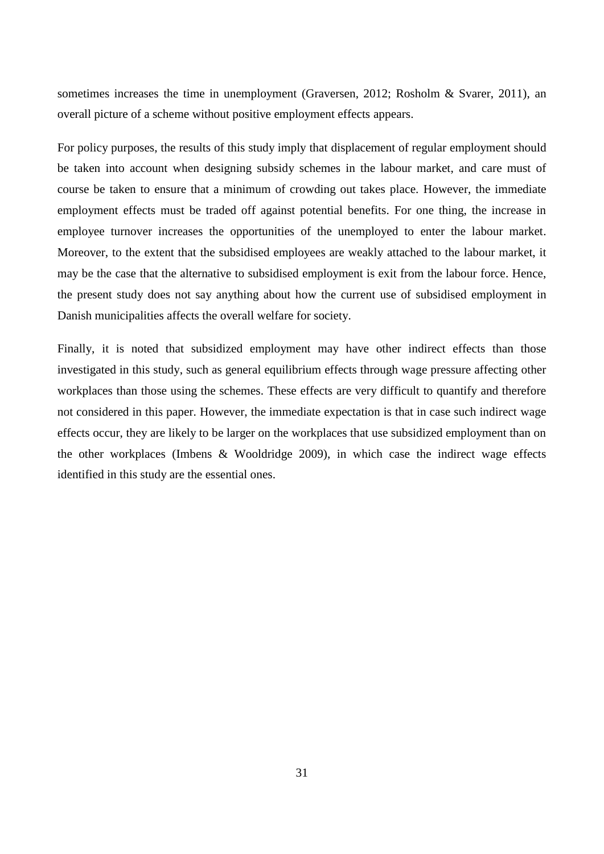sometimes increases the time in unemployment (Graversen, 2012; Rosholm & Svarer, 2011), an overall picture of a scheme without positive employment effects appears.

For policy purposes, the results of this study imply that displacement of regular employment should be taken into account when designing subsidy schemes in the labour market, and care must of course be taken to ensure that a minimum of crowding out takes place. However, the immediate employment effects must be traded off against potential benefits. For one thing, the increase in employee turnover increases the opportunities of the unemployed to enter the labour market. Moreover, to the extent that the subsidised employees are weakly attached to the labour market, it may be the case that the alternative to subsidised employment is exit from the labour force. Hence, the present study does not say anything about how the current use of subsidised employment in Danish municipalities affects the overall welfare for society.

Finally, it is noted that subsidized employment may have other indirect effects than those investigated in this study, such as general equilibrium effects through wage pressure affecting other workplaces than those using the schemes. These effects are very difficult to quantify and therefore not considered in this paper. However, the immediate expectation is that in case such indirect wage effects occur, they are likely to be larger on the workplaces that use subsidized employment than on the other workplaces (Imbens & Wooldridge 2009), in which case the indirect wage effects identified in this study are the essential ones.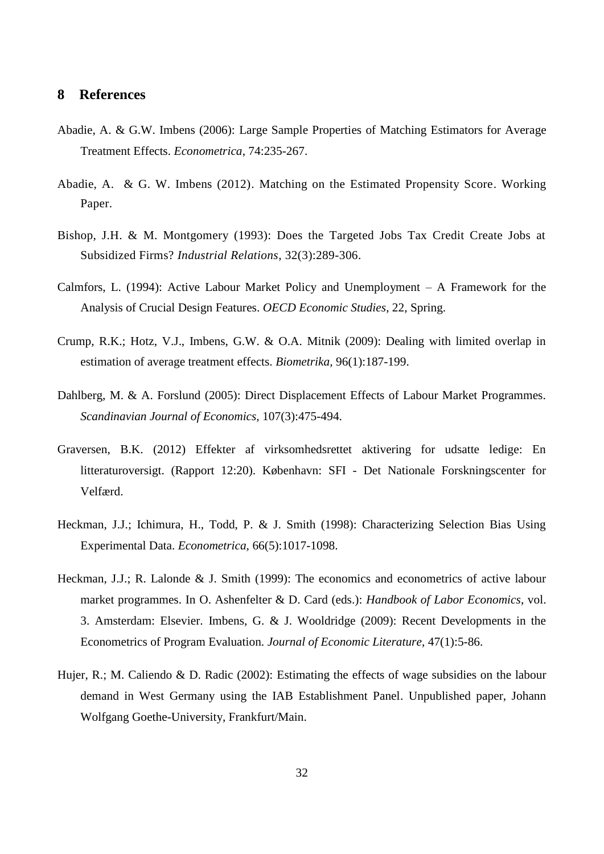# **8 References**

- Abadie, A. & G.W. Imbens (2006): Large Sample Properties of Matching Estimators for Average Treatment Effects. *Econometrica*, 74:235-267.
- Abadie, A. & G. W. Imbens (2012). Matching on the Estimated Propensity Score. Working Paper.
- Bishop, J.H. & M. Montgomery (1993): Does the Targeted Jobs Tax Credit Create Jobs at Subsidized Firms? *Industrial Relations*, 32(3):289-306.
- Calmfors, L. (1994): Active Labour Market Policy and Unemployment A Framework for the Analysis of Crucial Design Features. *OECD Economic Studies*, 22, Spring.
- Crump, R.K.; Hotz, V.J., Imbens, G.W. & O.A. Mitnik (2009): Dealing with limited overlap in estimation of average treatment effects. *Biometrika,* 96(1):187-199.
- Dahlberg, M. & A. Forslund (2005): Direct Displacement Effects of Labour Market Programmes. *Scandinavian Journal of Economics,* 107(3):475-494.
- Graversen, B.K. (2012) Effekter af virksomhedsrettet aktivering for udsatte ledige: En litteraturoversigt. (Rapport 12:20). København: SFI - Det Nationale Forskningscenter for Velfærd.
- Heckman, J.J.; Ichimura, H., Todd, P. & J. Smith (1998): Characterizing Selection Bias Using Experimental Data. *Econometrica,* 66(5):1017-1098.
- Heckman, J.J.; R. Lalonde & J. Smith (1999): The economics and econometrics of active labour market programmes. In O. Ashenfelter & D. Card (eds.): *Handbook of Labor Economics*, vol. 3. Amsterdam: Elsevier. Imbens, G. & J. Wooldridge (2009): Recent Developments in the Econometrics of Program Evaluation. *Journal of Economic Literature*, 47(1):5-86.
- Hujer, R.; M. Caliendo & D. Radic (2002): Estimating the effects of wage subsidies on the labour demand in West Germany using the IAB Establishment Panel. Unpublished paper, Johann Wolfgang Goethe-University, Frankfurt/Main.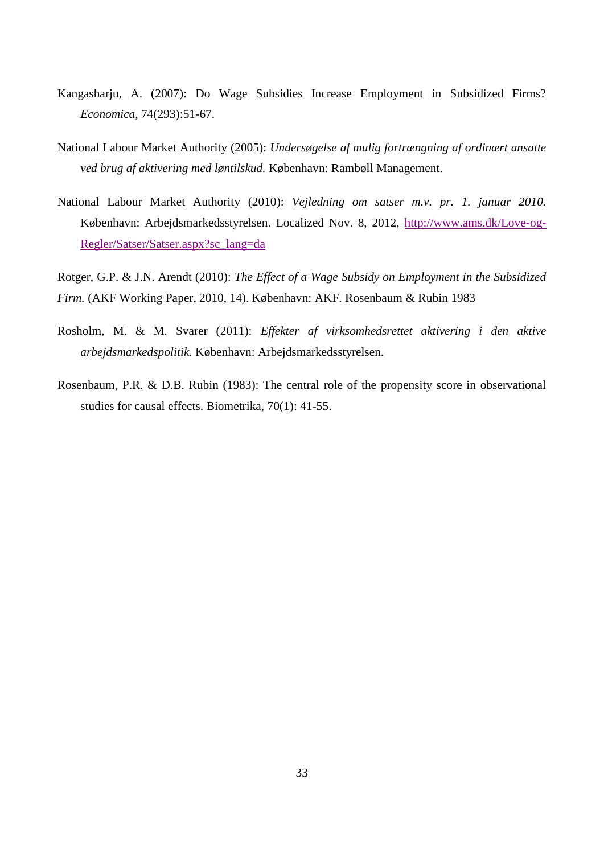- Kangasharju, A. (2007): Do Wage Subsidies Increase Employment in Subsidized Firms? *Economica,* 74(293):51-67.
- National Labour Market Authority (2005): *Undersøgelse af mulig fortrængning af ordinært ansatte ved brug af aktivering med løntilskud.* København: Rambøll Management.
- National Labour Market Authority (2010): *Vejledning om satser m.v. pr. 1. januar 2010.* København: Arbejdsmarkedsstyrelsen. Localized Nov. 8, 2012, [http://www.ams.dk/Love-og-](http://www.ams.dk/Love-og-Regler/Satser/Satser.aspx?sc_lang=da)[Regler/Satser/Satser.aspx?sc\\_lang=da](http://www.ams.dk/Love-og-Regler/Satser/Satser.aspx?sc_lang=da)

Rotger, G.P. & J.N. Arendt (2010): *The Effect of a Wage Subsidy on Employment in the Subsidized Firm.* (AKF Working Paper, 2010, 14). København: AKF. Rosenbaum & Rubin 1983

- Rosholm, M. & M. Svarer (2011): *Effekter af virksomhedsrettet aktivering i den aktive arbejdsmarkedspolitik.* København: Arbejdsmarkedsstyrelsen.
- Rosenbaum, P.R. & D.B. Rubin (1983): The central role of the propensity score in observational studies for causal effects. Biometrika, 70(1): 41-55.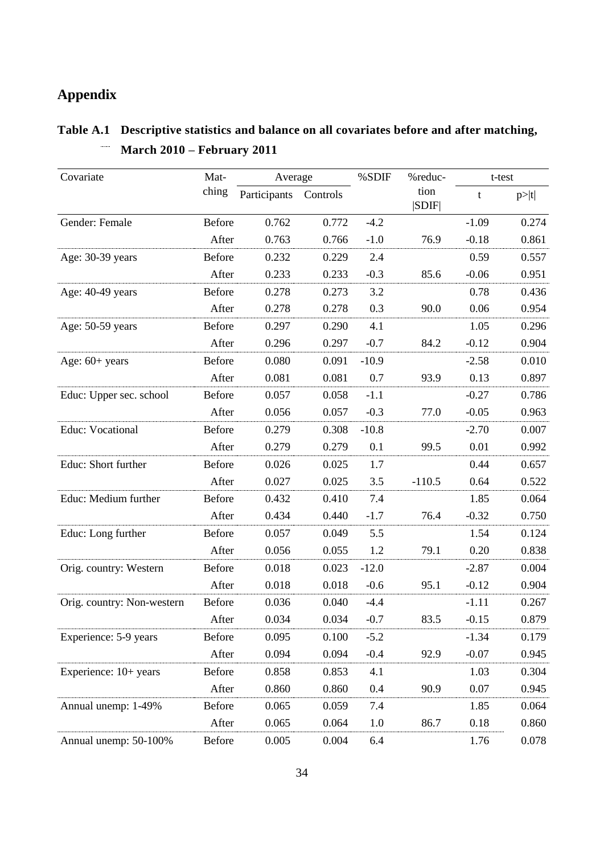# **Appendix**

| Covariate                  | Mat-          | Average      |          | %SDIF   | %reduc-       | t-test  |       |
|----------------------------|---------------|--------------|----------|---------|---------------|---------|-------|
|                            | ching         | Participants | Controls |         | tion<br> SDIF | t       | p> t  |
| Gender: Female             | <b>Before</b> | 0.762        | 0.772    | $-4.2$  |               | $-1.09$ | 0.274 |
|                            | After         | 0.763        | 0.766    | $-1.0$  | 76.9          | $-0.18$ | 0.861 |
| Age: 30-39 years           | Before        | 0.232        | 0.229    | 2.4     |               | 0.59    | 0.557 |
|                            | After         | 0.233        | 0.233    | $-0.3$  | 85.6          | $-0.06$ | 0.951 |
| Age: 40-49 years           | <b>Before</b> | 0.278        | 0.273    | 3.2     |               | 0.78    | 0.436 |
|                            | After         | 0.278        | 0.278    | 0.3     | 90.0          | 0.06    | 0.954 |
| Age: 50-59 years           | <b>Before</b> | 0.297        | 0.290    | 4.1     |               | 1.05    | 0.296 |
|                            | After         | 0.296        | 0.297    | $-0.7$  | 84.2          | $-0.12$ | 0.904 |
| Age: $60+$ years           | <b>Before</b> | 0.080        | 0.091    | $-10.9$ |               | $-2.58$ | 0.010 |
|                            | After         | 0.081        | 0.081    | 0.7     | 93.9          | 0.13    | 0.897 |
| Educ: Upper sec. school    | Before        | 0.057        | 0.058    | $-1.1$  |               | $-0.27$ | 0.786 |
|                            | After         | 0.056        | 0.057    | $-0.3$  | 77.0          | $-0.05$ | 0.963 |
| Educ: Vocational           | <b>Before</b> | 0.279        | 0.308    | $-10.8$ |               | $-2.70$ | 0.007 |
|                            | After         | 0.279        | 0.279    | 0.1     | 99.5          | 0.01    | 0.992 |
| Educ: Short further        | Before        | 0.026        | 0.025    | 1.7     |               | 0.44    | 0.657 |
|                            | After         | 0.027        | 0.025    | 3.5     | $-110.5$      | 0.64    | 0.522 |
| Educ: Medium further       | Before        | 0.432        | 0.410    | 7.4     |               | 1.85    | 0.064 |
|                            | After         | 0.434        | 0.440    | $-1.7$  | 76.4          | $-0.32$ | 0.750 |
| Educ: Long further         | Before        | 0.057        | 0.049    | 5.5     |               | 1.54    | 0.124 |
|                            | After         | 0.056        | 0.055    | 1.2     | 79.1          | 0.20    | 0.838 |
| Orig. country: Western     | <b>Before</b> | 0.018        | 0.023    | $-12.0$ |               | $-2.87$ | 0.004 |
|                            | After         | 0.018        | 0.018    | $-0.6$  | 95.1          | $-0.12$ | 0.904 |
| Orig. country: Non-western | Before        | 0.036        | 0.040    | $-4.4$  |               | $-1.11$ | 0.267 |
|                            | After         | 0.034        | 0.034    | $-0.7$  | 83.5          | $-0.15$ | 0.879 |
| Experience: 5-9 years      | <b>Before</b> | 0.095        | 0.100    | $-5.2$  |               | $-1.34$ | 0.179 |
|                            | After         | 0.094        | 0.094    | $-0.4$  | 92.9          | $-0.07$ | 0.945 |
| Experience: 10+ years      | Before        | 0.858        | 0.853    | 4.1     |               | 1.03    | 0.304 |
|                            | After         | 0.860        | 0.860    | 0.4     | 90.9          | 0.07    | 0.945 |
| Annual unemp: 1-49%        | Before        | 0.065        | 0.059    | 7.4     |               | 1.85    | 0.064 |
|                            | After         | 0.065        | 0.064    | 1.0     | 86.7          | 0.18    | 0.860 |
| Annual unemp: 50-100%      | Before        | 0.005        | 0.004    | 6.4     |               | 1.76    | 0.078 |

#### **Table A.1 Descriptive statistics and balance on all covariates before and after matching, March 2010 – February 2011**  $\begin{array}{c} \ldots \ldots \ldots \end{array}$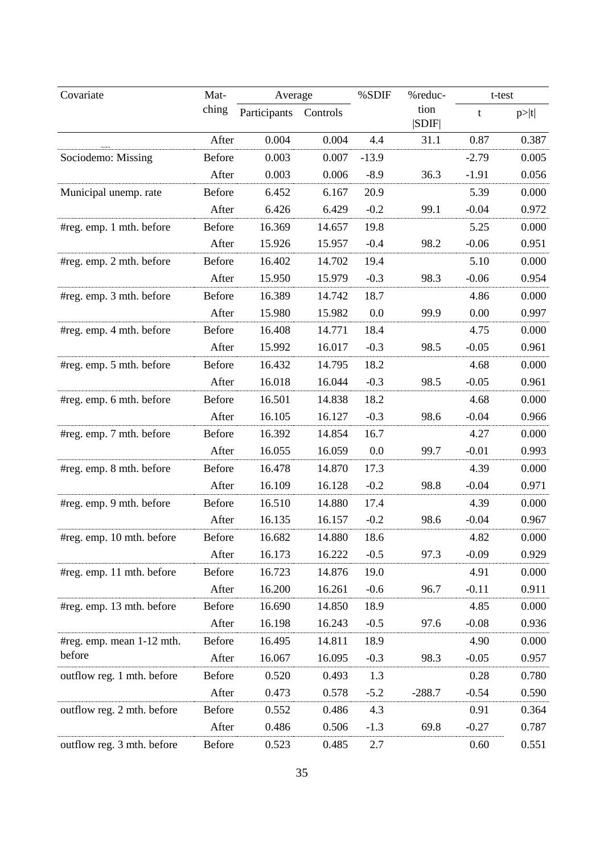| Covariate                           | Mat-          | Average      |          | %SDIF<br>%reduc- |               | t-test  |       |
|-------------------------------------|---------------|--------------|----------|------------------|---------------|---------|-------|
|                                     | ching         | Participants | Controls |                  | tion<br> SDIF | t       | p> t  |
|                                     | After         | 0.004        | 0.004    | 4.4              | 31.1          | 0.87    | 0.387 |
| Sociodemo: Missing                  | Before        | 0.003        | 0.007    | $-13.9$          |               | $-2.79$ | 0.005 |
|                                     | After         | 0.003        | 0.006    | $-8.9$           | 36.3          | $-1.91$ | 0.056 |
| Municipal unemp. rate               | <b>Before</b> | 6.452        | 6.167    | 20.9             |               | 5.39    | 0.000 |
|                                     | After         | 6.426        | 6.429    | $-0.2$           | 99.1          | $-0.04$ | 0.972 |
| #reg. emp. 1 mth. before            | <b>Before</b> | 16.369       | 14.657   | 19.8             |               | 5.25    | 0.000 |
|                                     | After         | 15.926       | 15.957   | $-0.4$           | 98.2          | $-0.06$ | 0.951 |
| #reg. emp. 2 mth. before            | <b>Before</b> | 16.402       | 14.702   | 19.4             |               | 5.10    | 0.000 |
|                                     | After         | 15.950       | 15.979   | $-0.3$           | 98.3          | $-0.06$ | 0.954 |
| #reg. emp. 3 mth. before            | <b>Before</b> | 16.389       | 14.742   | 18.7             |               | 4.86    | 0.000 |
|                                     | After         | 15.980       | 15.982   | 0.0              | 99.9          | 0.00    | 0.997 |
| #reg. emp. 4 mth. before            | Before        | 16.408       | 14.771   | 18.4             |               | 4.75    | 0.000 |
|                                     | After         | 15.992       | 16.017   | $-0.3$           | 98.5          | $-0.05$ | 0.961 |
| #reg. emp. 5 mth. before            | Before        | 16.432       | 14.795   | 18.2             |               | 4.68    | 0.000 |
|                                     | After         | 16.018       | 16.044   | $-0.3$           | 98.5          | $-0.05$ | 0.961 |
| #reg. emp. 6 mth. before            | Before        | 16.501       | 14.838   | 18.2             |               | 4.68    | 0.000 |
|                                     | After         | 16.105       | 16.127   | $-0.3$           | 98.6          | $-0.04$ | 0.966 |
| #reg. emp. 7 mth. before            | <b>Before</b> | 16.392       | 14.854   | 16.7             |               | 4.27    | 0.000 |
|                                     | After         | 16.055       | 16.059   | 0.0              | 99.7          | $-0.01$ | 0.993 |
| #reg. emp. 8 mth. before            | <b>Before</b> | 16.478       | 14.870   | 17.3             |               | 4.39    | 0.000 |
|                                     | After         | 16.109       | 16.128   | $-0.2$           | 98.8          | $-0.04$ | 0.971 |
| #reg. emp. 9 mth. before            | <b>Before</b> | 16.510       | 14.880   | 17.4             |               | 4.39    | 0.000 |
|                                     | After         | 16.135       | 16.157   | $-0.2$           | 98.6          | $-0.04$ | 0.967 |
| #reg. emp. 10 mth. before           | <b>Before</b> | 16.682       | 14.880   | 18.6             |               | 4.82    | 0.000 |
|                                     | After         | 16.173       | 16.222   | $-0.5$           | 97.3          | $-0.09$ | 0.929 |
| #reg. emp. 11 mth. before           | Before        | 16.723       | 14.876   | 19.0             |               | 4.91    | 0.000 |
|                                     | After         | 16.200       | 16.261   | $-0.6$           | 96.7          | $-0.11$ | 0.911 |
| #reg. emp. 13 mth. before           | Before        | 16.690       | 14.850   | 18.9             |               | 4.85    | 0.000 |
|                                     | After         | 16.198       | 16.243   | $-0.5$           | 97.6          | $-0.08$ | 0.936 |
| #reg. emp. mean 1-12 mth.<br>before | <b>Before</b> | 16.495       | 14.811   | 18.9             |               | 4.90    | 0.000 |
|                                     | After         | 16.067       | 16.095   | $-0.3$           | 98.3          | $-0.05$ | 0.957 |
| outflow reg. 1 mth. before          | Before        | 0.520        | 0.493    | 1.3              |               | 0.28    | 0.780 |
|                                     | After         | 0.473        | 0.578    | $-5.2$           | $-288.7$      | $-0.54$ | 0.590 |
| outflow reg. 2 mth. before          | Before        | 0.552        | 0.486    | 4.3              |               | 0.91    | 0.364 |
|                                     | After         | 0.486        | 0.506    | $-1.3$           | 69.8          | $-0.27$ | 0.787 |
| outflow reg. 3 mth. before          | Before        | 0.523        | 0.485    | 2.7              |               | 0.60    | 0.551 |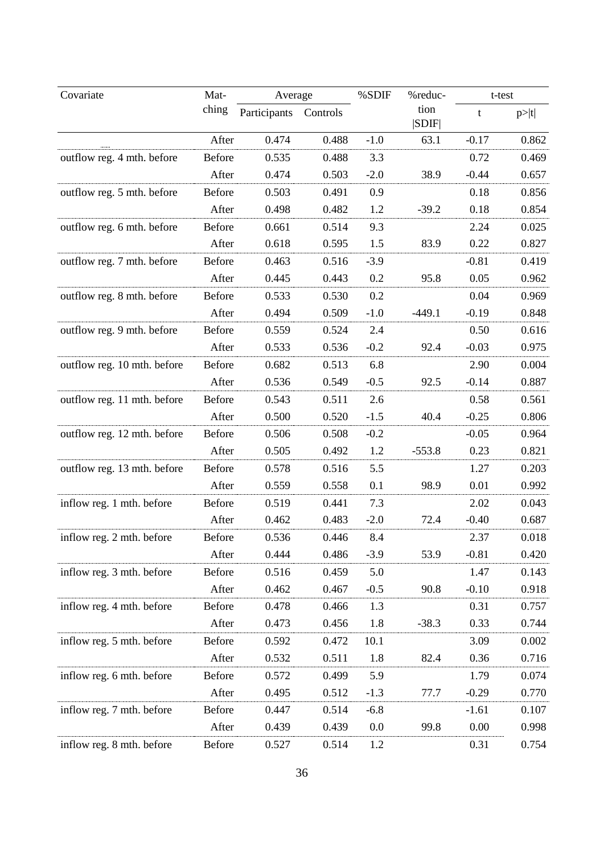| Covariate                   | Mat-          | Average      |          | %SDIF<br>%reduc- |               | t-test  |       |
|-----------------------------|---------------|--------------|----------|------------------|---------------|---------|-------|
|                             | ching         | Participants | Controls |                  | tion<br> SDIF | t       | p> t  |
|                             | After         | 0.474        | 0.488    | $-1.0$           | 63.1          | $-0.17$ | 0.862 |
| outflow reg. 4 mth. before  | Before        | 0.535        | 0.488    | 3.3              |               | 0.72    | 0.469 |
|                             | After         | 0.474        | 0.503    | $-2.0$           | 38.9          | $-0.44$ | 0.657 |
| outflow reg. 5 mth. before  | <b>Before</b> | 0.503        | 0.491    | 0.9              |               | 0.18    | 0.856 |
|                             | After         | 0.498        | 0.482    | 1.2              | $-39.2$       | 0.18    | 0.854 |
| outflow reg. 6 mth. before  | Before        | 0.661        | 0.514    | 9.3              |               | 2.24    | 0.025 |
|                             | After         | 0.618        | 0.595    | 1.5              | 83.9          | 0.22    | 0.827 |
| outflow reg. 7 mth. before  | Before        | 0.463        | 0.516    | $-3.9$           |               | $-0.81$ | 0.419 |
|                             | After         | 0.445        | 0.443    | 0.2              | 95.8          | 0.05    | 0.962 |
| outflow reg. 8 mth. before  | Before        | 0.533        | 0.530    | 0.2              |               | 0.04    | 0.969 |
|                             | After         | 0.494        | 0.509    | $-1.0$           | $-449.1$      | $-0.19$ | 0.848 |
| outflow reg. 9 mth. before  | <b>Before</b> | 0.559        | 0.524    | 2.4              |               | 0.50    | 0.616 |
|                             | After         | 0.533        | 0.536    | $-0.2$           | 92.4          | $-0.03$ | 0.975 |
| outflow reg. 10 mth. before | Before        | 0.682        | 0.513    | 6.8              |               | 2.90    | 0.004 |
|                             | After         | 0.536        | 0.549    | $-0.5$           | 92.5          | $-0.14$ | 0.887 |
| outflow reg. 11 mth. before | Before        | 0.543        | 0.511    | 2.6              |               | 0.58    | 0.561 |
|                             | After         | 0.500        | 0.520    | $-1.5$           | 40.4          | $-0.25$ | 0.806 |
| outflow reg. 12 mth. before | Before        | 0.506        | 0.508    | $-0.2$           |               | $-0.05$ | 0.964 |
|                             | After         | 0.505        | 0.492    | 1.2              | $-553.8$      | 0.23    | 0.821 |
| outflow reg. 13 mth. before | Before        | 0.578        | 0.516    | 5.5              |               | 1.27    | 0.203 |
|                             | After         | 0.559        | 0.558    | 0.1              | 98.9          | 0.01    | 0.992 |
| inflow reg. 1 mth. before   | Before        | 0.519        | 0.441    | 7.3              |               | 2.02    | 0.043 |
|                             | After         | 0.462        | 0.483    | $-2.0$           | 72.4          | $-0.40$ | 0.687 |
| inflow reg. 2 mth. before   | <b>Before</b> | 0.536        | 0.446    | 8.4              |               | 2.37    | 0.018 |
|                             | After         | 0.444        | 0.486    | $-3.9$           | 53.9          | $-0.81$ | 0.420 |
| inflow reg. 3 mth. before   | Before        | 0.516        | 0.459    | 5.0              |               | 1.47    | 0.143 |
|                             | After         | 0.462        | 0.467    | $-0.5$           | 90.8          | $-0.10$ | 0.918 |
| inflow reg. 4 mth. before   | Before        | 0.478        | 0.466    | 1.3              |               | 0.31    | 0.757 |
|                             | After         | 0.473        | 0.456    | 1.8              | $-38.3$       | 0.33    | 0.744 |
| inflow reg. 5 mth. before   | Before        | 0.592        | 0.472    | 10.1             |               | 3.09    | 0.002 |
|                             | After         | 0.532        | 0.511    | 1.8              | 82.4          | 0.36    | 0.716 |
| inflow reg. 6 mth. before   | Before        | 0.572        | 0.499    | 5.9              |               | 1.79    | 0.074 |
|                             | After         | 0.495        | 0.512    | $-1.3$           | 77.7          | $-0.29$ | 0.770 |
| inflow reg. 7 mth. before   | Before        | 0.447        | 0.514    | $-6.8$           |               | $-1.61$ | 0.107 |
|                             | After         | 0.439        | 0.439    | 0.0              | 99.8          | 0.00    | 0.998 |
| inflow reg. 8 mth. before   | Before        | 0.527        | 0.514    | 1.2              |               | 0.31    | 0.754 |